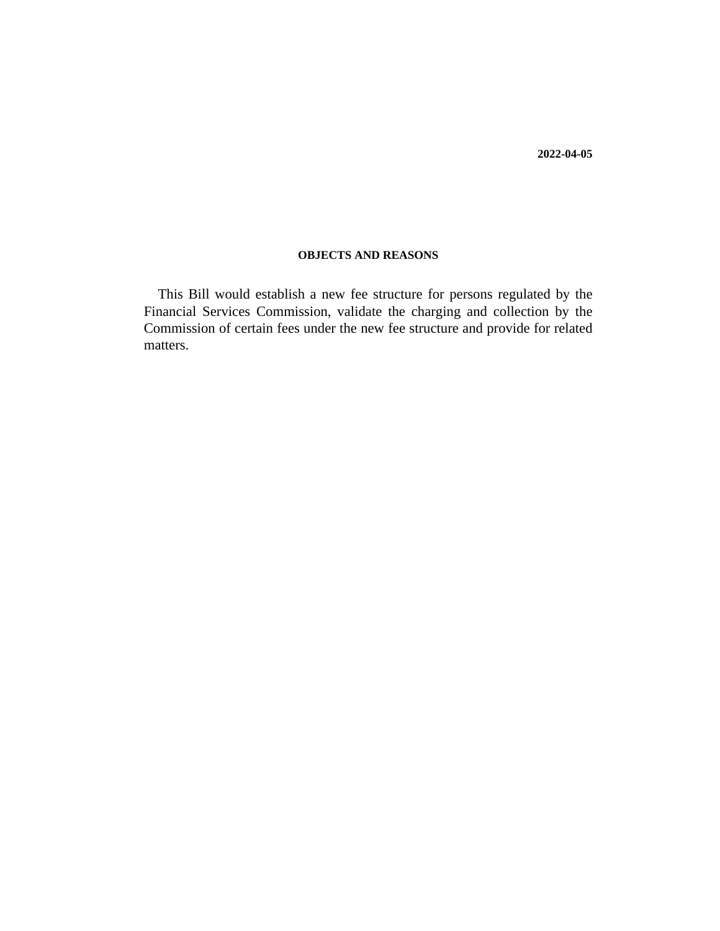**2022-04-05**

## **OBJECTS AND REASONS**

This Bill would establish a new fee structure for persons regulated by the Financial Services Commission, validate the charging and collection by the Commission of certain fees under the new fee structure and provide for related matters.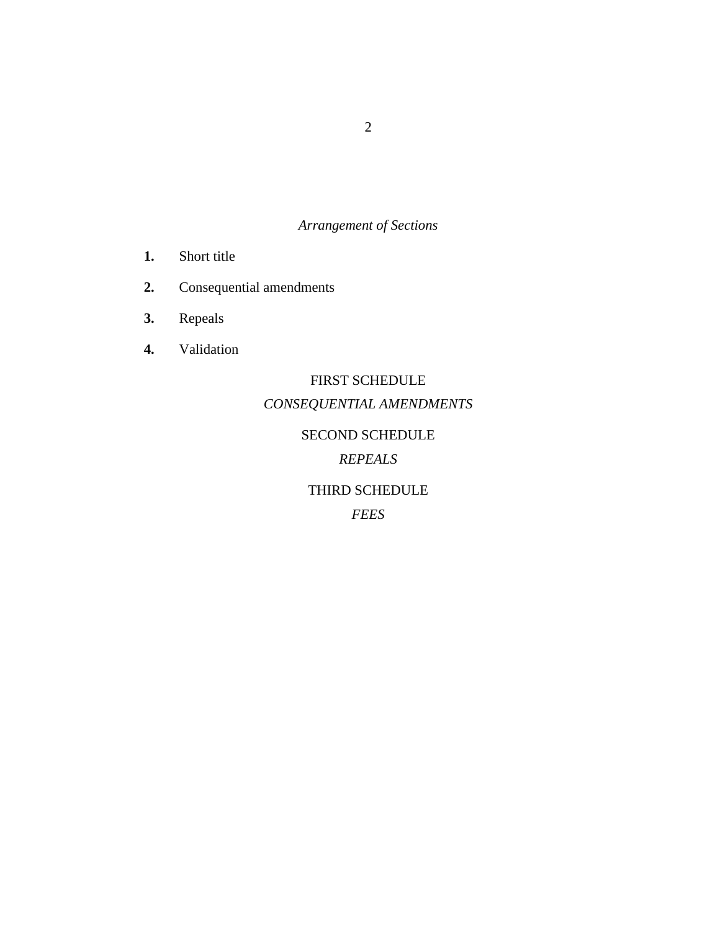# *Arrangement of Sections*

- [Short title](#page-3-0) **1.**
- [Consequential amendments](#page-3-0) **2.**
- [Repeals](#page-3-0) **3.**
- [Validation](#page-3-0) **4.**

# FIRST SCHEDULE *CONSEQUENTIAL AMENDMENTS*

# SECOND SCHEDULE

# *REPEALS*

## THIRD SCHEDULE

*FEES*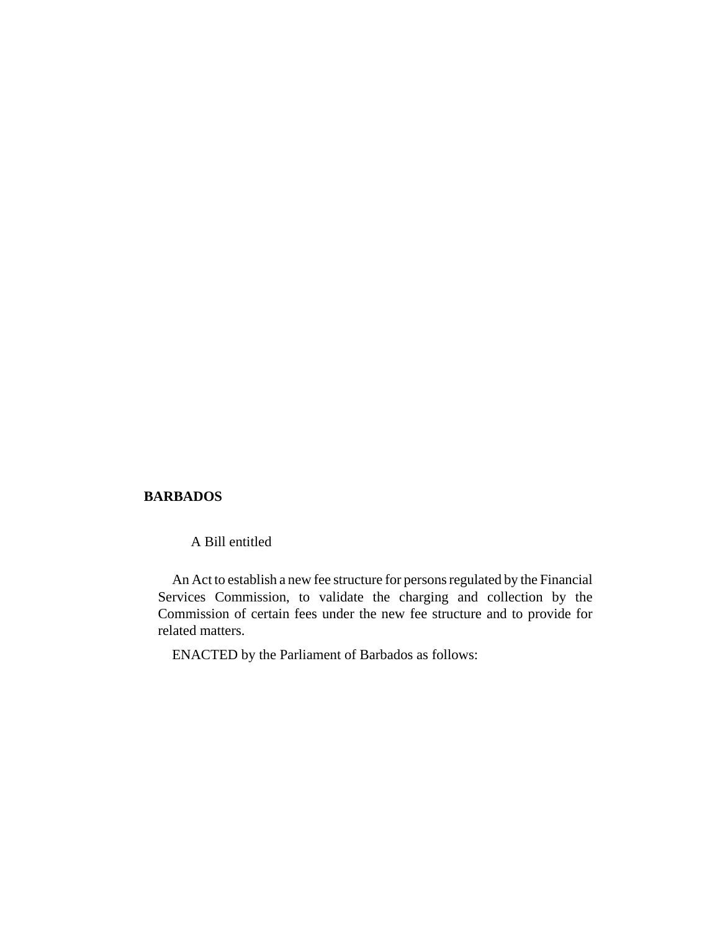## **BARBADOS**

A Bill entitled

An Act to establish a new fee structure for persons regulated by the Financial Services Commission, to validate the charging and collection by the Commission of certain fees under the new fee structure and to provide for related matters.

ENACTED by the Parliament of Barbados as follows: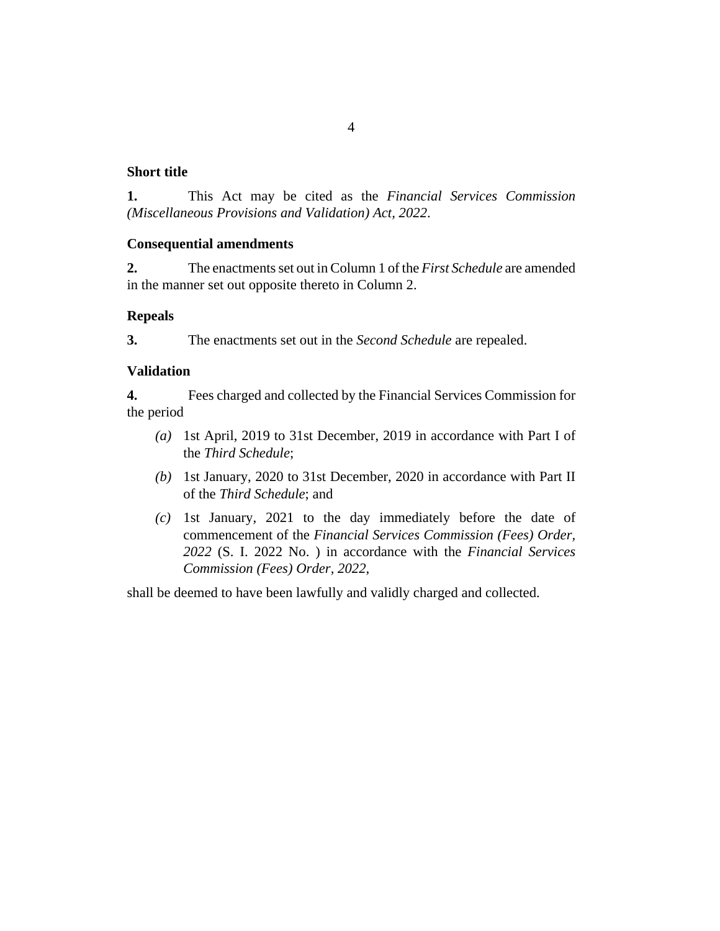## <span id="page-3-0"></span>**Short title**

This Act may be cited as the *Financial Services Commission (Miscellaneous Provisions and Validation) Act, 2022*. **1.**

## **Consequential amendments**

The enactments set out in Column 1 of the *First Schedule* are amended in the manner set out opposite thereto in Column 2. **2.**

## **Repeals**

The enactments set out in the *Second Schedule* are repealed. **3.**

## **Validation**

Fees charged and collected by the Financial Services Commission for the period **4.**

- (a) 1st April, 2019 to 31st December, 2019 in accordance with Part I of the *Third Schedule*;
- (b) 1st January, 2020 to 31st December, 2020 in accordance with Part II of the *Third Schedule*; and
- $(c)$  1st January, 2021 to the day immediately before the date of commencement of the *Financial Services Commission (Fees) Order, 2022* (S. I. 2022 No. ) in accordance with the *Financial Services Commission (Fees) Order, 2022*,

shall be deemed to have been lawfully and validly charged and collected.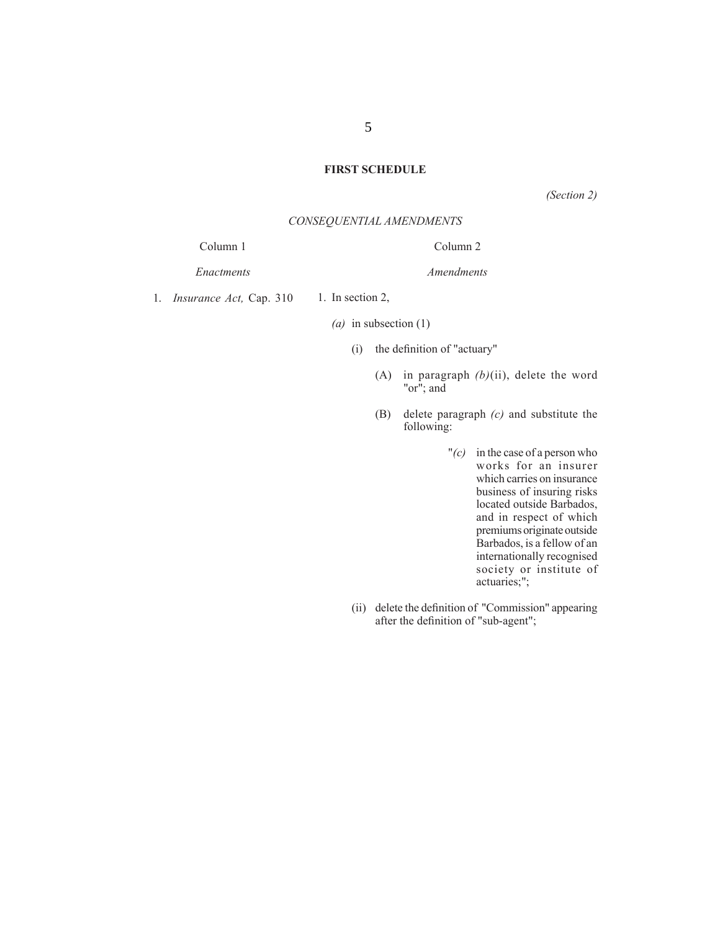## **FIRST SCHEDULE**

*(Section 2)*

#### *CONSEQUENTIAL AMENDMENTS*

Column 1

*Enactments*

Column 2

*Amendments*

1. In section 2, 1. *Insurance Act,* Cap. 310

*(a)* in subsection (1)

- $(i)$  the definition of "actuary"
	- (A) in paragraph *(b)*(ii), delete the word "or"; and
	- (B) delete paragraph *(c)* and substitute the following:
		- "*(c)* in the case of a person who works for an insurer which carries on insurance business of insuring risks located outside Barbados, and in respect of which premiums originate outside Barbados, is a fellow of an internationally recognised society or institute of actuaries;";
- (ii) delete the definition of "Commission" appearing after the definition of "sub-agent";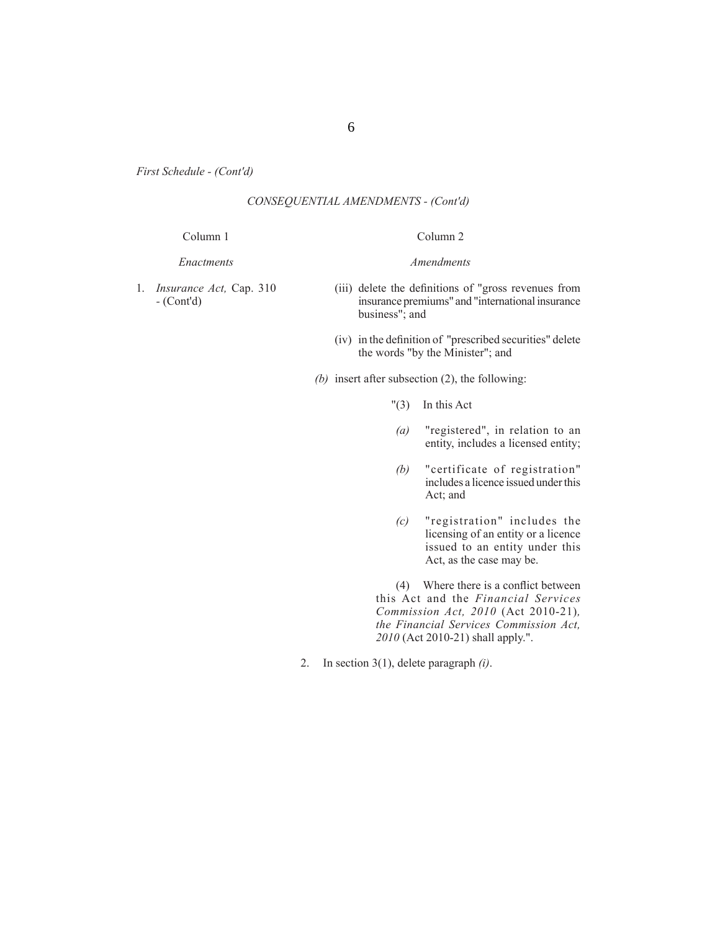## *CONSEQUENTIAL AMENDMENTS - (Cont'd)*

#### Column 1

*Enactments*

Column 2

*Amendments*

1. *Insurance Act,* Cap. 310 *-* (Cont'd)

(iii) delete the definitions of "gross revenues from insurance premiums" and "international insurance business"; and

- (iv) in the definition of "prescribed securities" delete the words "by the Minister"; and
- *(b)* insert after subsection (2), the following:
	- "(3) In this Act
	- *(a)* "registered", in relation to an entity, includes a licensed entity;
	- *(b)* "certificate of registration" includes a licence issued under this Act; and
	- *(c)* "registration" includes the licensing of an entity or a licence issued to an entity under this Act, as the case may be.

 $(4)$  Where there is a conflict between this Act and the *Financial Services Commission Act, 2010* (Act 2010-21)*, the Financial Services Commission Act, 2010* (Act 2010-21) shall apply.".

2. In section 3(1), delete paragraph *(i)*.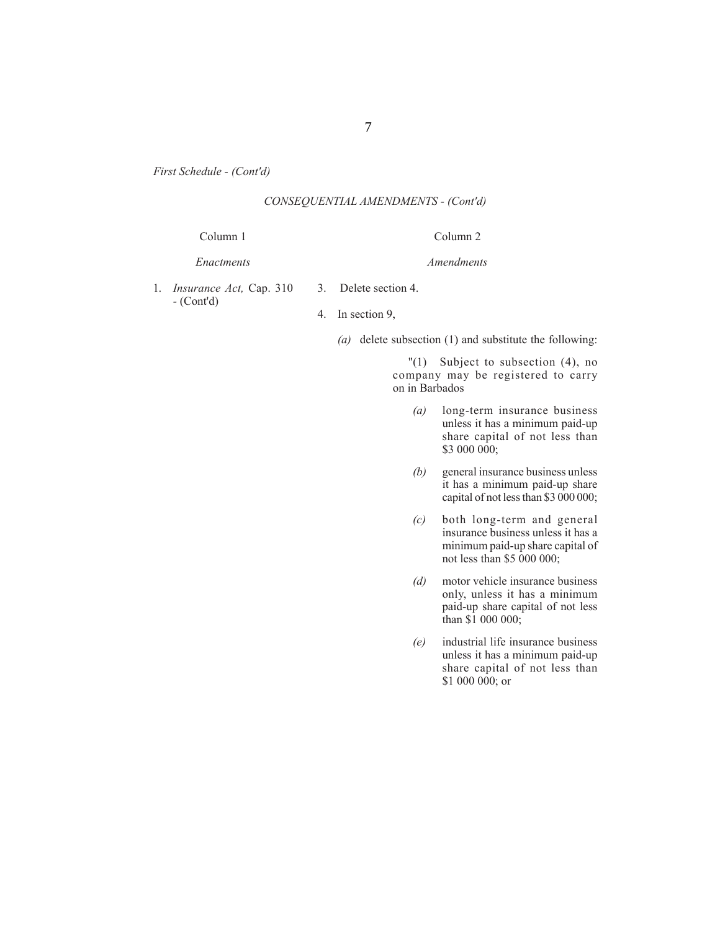## *CONSEQUENTIAL AMENDMENTS - (Cont'd)*

#### Column 1

#### *Enactments*

# Column 2

*Amendments*

- 1. *Insurance Act,* Cap. 310 *-* (Cont'd)
- 3. Delete section 4.
- 4. In section 9,
	- *(a)* delete subsection (1) and substitute the following:

 "(1) Subject to subsection (4), no company may be registered to carry on in Barbados

- *(a)* long-term insurance business unless it has a minimum paid-up share capital of not less than \$3 000 000;
- *(b)* general insurance business unless it has a minimum paid-up share capital of not less than \$3 000 000;
- *(c)* both long-term and general insurance business unless it has a minimum paid-up share capital of not less than \$5 000 000;
- *(d)* motor vehicle insurance business only, unless it has a minimum paid-up share capital of not less than \$1 000 000;
- *(e)* industrial life insurance business unless it has a minimum paid-up share capital of not less than  $$1\ 000\ 000$ ; or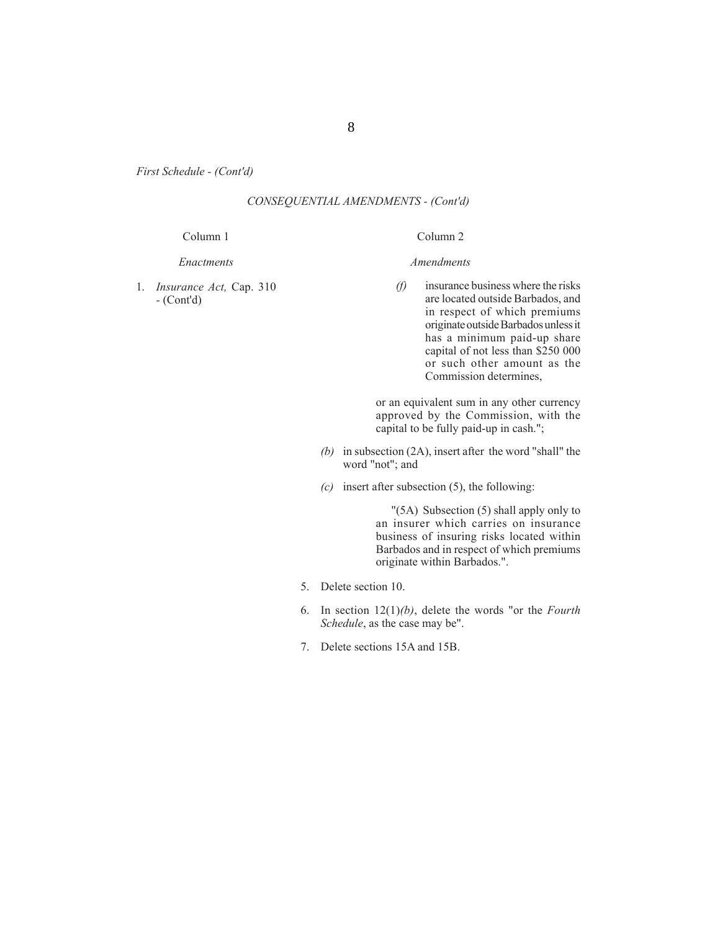## *CONSEQUENTIAL AMENDMENTS - (Cont'd)*

#### Column 1

## Column 2

*Amendments*

*Enactments*

1. *Insurance Act,* Cap. 310 *-* (Cont'd)

- *(f)* insurance business where the risks are located outside Barbados, and
- in respect of which premiums originate outside Barbados unless it has a minimum paid-up share capital of not less than \$250 000 or such other amount as the Commission determines,

or an equivalent sum in any other currency approved by the Commission, with the capital to be fully paid-up in cash.";

- *(b)* in subsection (2A), insert after the word "shall" the word "not"; and
- *(c)* insert after subsection (5), the following:

 "(5A) Subsection (5) shall apply only to an insurer which carries on insurance business of insuring risks located within Barbados and in respect of which premiums originate within Barbados.".

- 5. Delete section 10.
- 6. In section 12(1)*(b)*, delete the words "or the *Fourth Schedule*, as the case may be".
- 7. Delete sections 15A and 15B.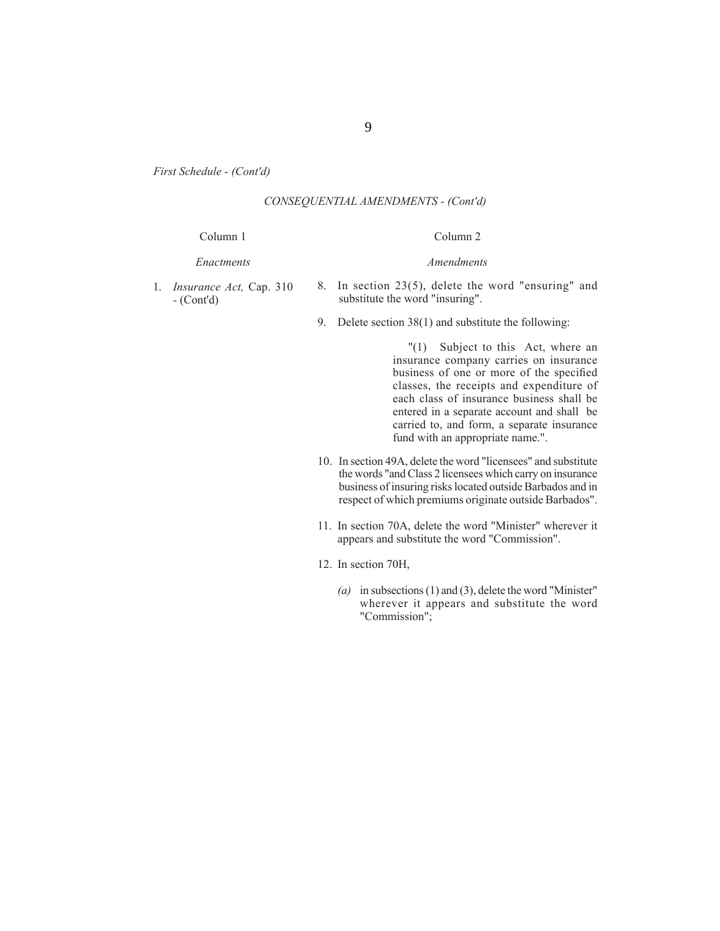## *CONSEQUENTIAL AMENDMENTS - (Cont'd)*

#### Column 1

#### *Enactments*

#### Column 2

*Amendments*

## 1. *Insurance Act,* Cap. 310 *-* (Cont'd)

- 8. In section 23(5), delete the word "ensuring" and substitute the word "insuring".
- 9. Delete section 38(1) and substitute the following:

 "(1) Subject to this Act, where an insurance company carries on insurance business of one or more of the specified classes, the receipts and expenditure of each class of insurance business shall be entered in a separate account and shall be carried to, and form, a separate insurance fund with an appropriate name.".

- 10. In section 49A, delete the word "licensees" and substitute the words "and Class 2 licensees which carry on insurance business of insuring risks located outside Barbados and in respect of which premiums originate outside Barbados".
- 11. In section 70A, delete the word "Minister" wherever it appears and substitute the word "Commission".
- 12. In section 70H,
	- *(a)* in subsections (1) and (3), delete the word "Minister" wherever it appears and substitute the word "Commission";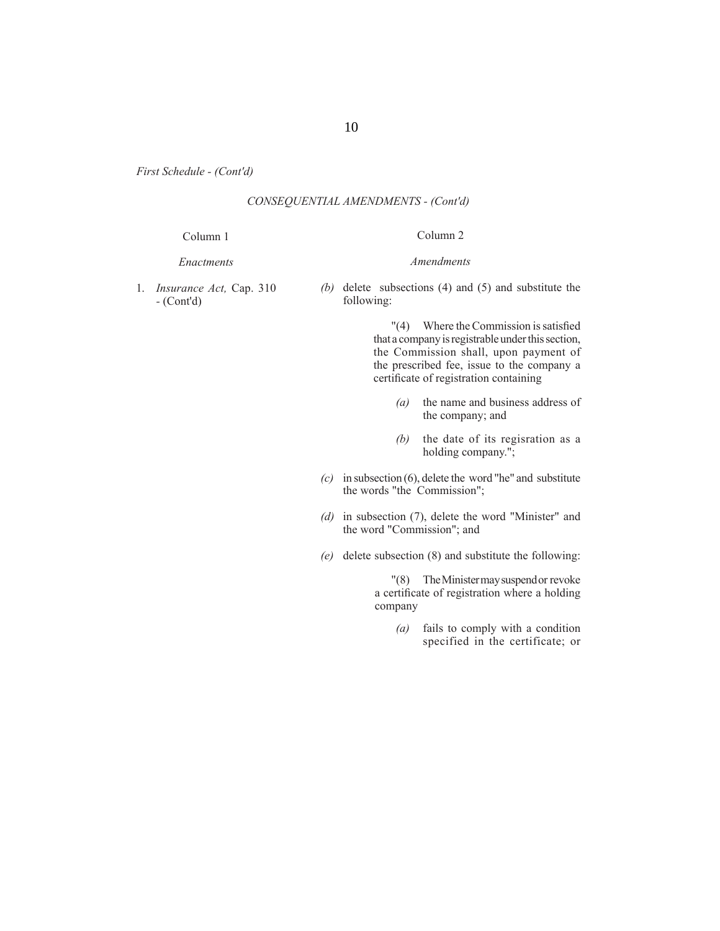## *CONSEQUENTIAL AMENDMENTS - (Cont'd)*

#### Column 1

#### *Enactments*

# Column 2 *Amendments*

1. *Insurance Act,* Cap. 310 *-* (Cont'd)

*(b)* delete subsections (4) and (5) and substitute the following:

> $''(4)$  Where the Commission is satisfied that a company is registrable under this section, the Commission shall, upon payment of the prescribed fee, issue to the company a certificate of registration containing

- *(a)* the name and business address of the company; and
- *(b)* the date of its regisration as a holding company.";
- *(c)* in subsection (6), delete the word "he" and substitute the words "the Commission";
- *(d)* in subsection (7), delete the word "Minister" and the word "Commission"; and
- *(e)* delete subsection (8) and substitute the following:

 "(8) The Minister may suspend or revoke a certificate of registration where a holding company

> *(a)* fails to comply with a condition specified in the certificate; or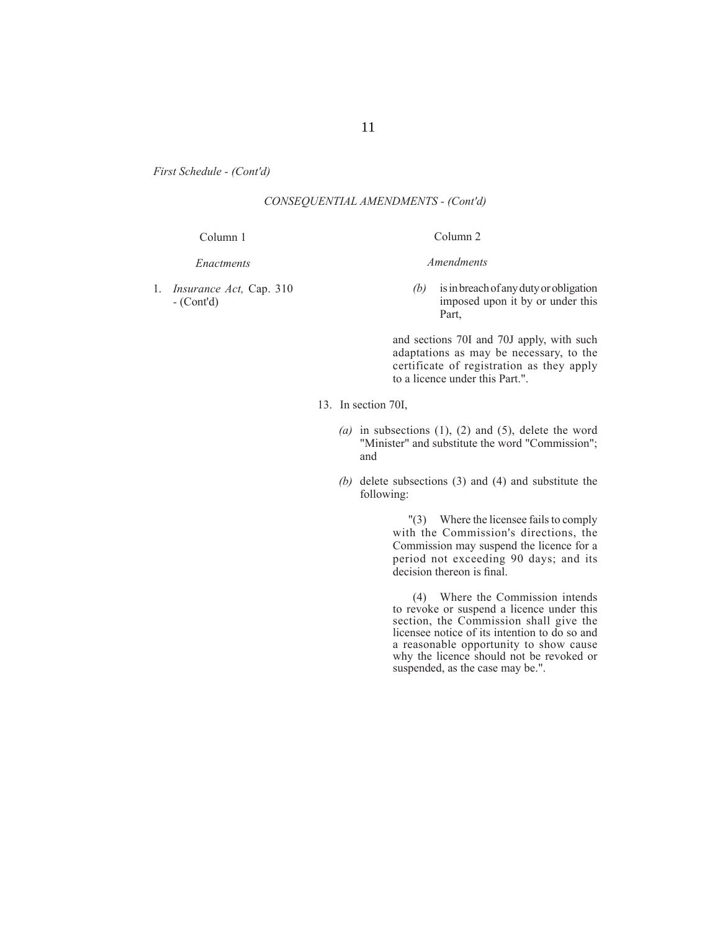## *CONSEQUENTIAL AMENDMENTS - (Cont'd)*

#### Column 1

#### *Enactments*

1. *Insurance Act,* Cap. 310 *-* (Cont'd)

### Column 2

#### *Amendments*

*(b)* is in breach of any duty or obligation imposed upon it by or under this Part,

and sections 70I and 70J apply, with such adaptations as may be necessary, to the certificate of registration as they apply to a licence under this Part.".

- 13. In section 70I,
	- *(a)* in subsections (1), (2) and (5), delete the word "Minister" and substitute the word "Commission"; and
	- *(b)* delete subsections (3) and (4) and substitute the following:

 "(3) Where the licensee fails to comply with the Commission's directions, the Commission may suspend the licence for a period not exceeding 90 days; and its decision thereon is final.

 (4) Where the Commission intends to revoke or suspend a licence under this section, the Commission shall give the licensee notice of its intention to do so and a reasonable opportunity to show cause why the licence should not be revoked or suspended, as the case may be.".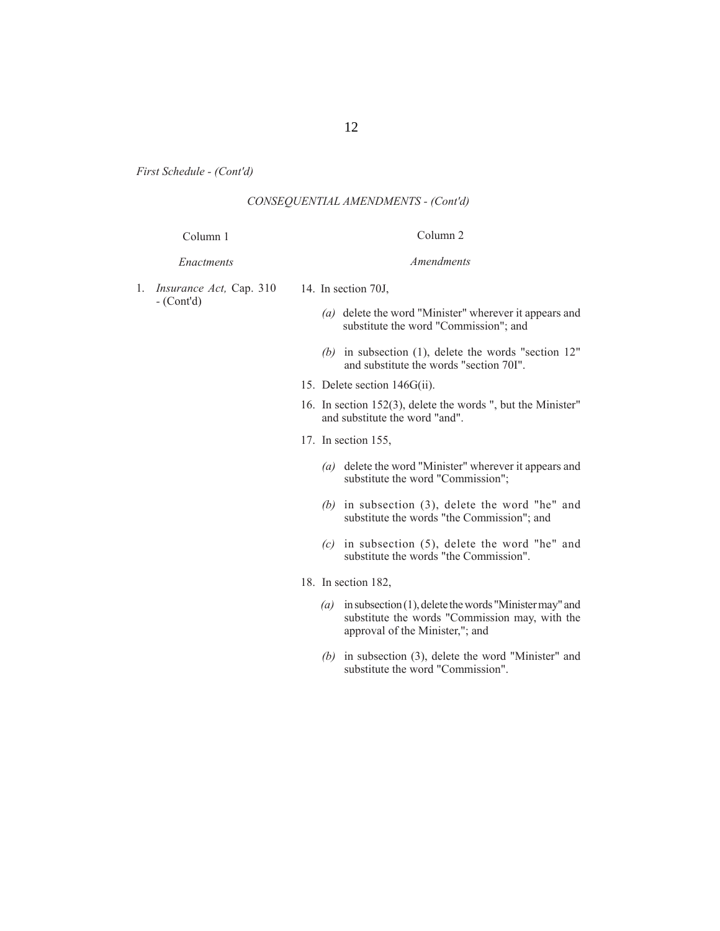## *CONSEQUENTIAL AMENDMENTS - (Cont'd)*

#### Column 1

# Column 2 *Amendments*

## *Enactments*

- 1. *Insurance Act,* Cap. 310 *-* (Cont'd) 14. In section 70J,
	- *(a)* delete the word "Minister" wherever it appears and substitute the word "Commission"; and
	- *(b)* in subsection (1), delete the words "section 12" and substitute the words "section 70I".
	- 15. Delete section 146G(ii).
	- 16. In section 152(3), delete the words ", but the Minister" and substitute the word "and".
	- 17. In section 155,
		- *(a)* delete the word "Minister" wherever it appears and substitute the word "Commission";
		- *(b)* in subsection (3), delete the word "he" and substitute the words "the Commission"; and
		- *(c)* in subsection (5), delete the word "he" and substitute the words "the Commission".
	- 18. In section 182,
		- *(a)* in subsection (1), delete the words "Minister may" and substitute the words "Commission may, with the approval of the Minister,"; and
		- *(b)* in subsection (3), delete the word "Minister" and substitute the word "Commission".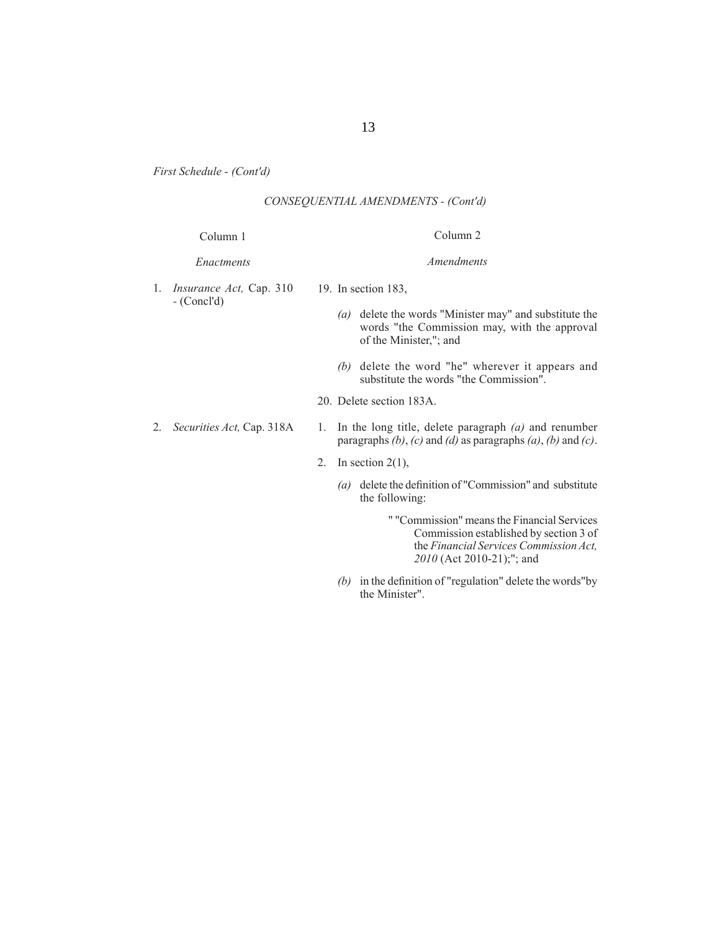## *CONSEQUENTIAL AMENDMENTS - (Cont'd)*

|    | Column 1                                            | Column <sub>2</sub>                                                                                                                        |
|----|-----------------------------------------------------|--------------------------------------------------------------------------------------------------------------------------------------------|
|    | Enactments                                          | Amendments                                                                                                                                 |
|    | 1. <i>Insurance Act</i> , Cap. 310<br>$-$ (Concl'd) | 19. In section $183$ ,                                                                                                                     |
|    |                                                     | (a) delete the words "Minister may" and substitute the<br>words "the Commission may, with the approval<br>of the Minister,"; and           |
|    |                                                     | (b) delete the word "he" wherever it appears and<br>substitute the words "the Commission".                                                 |
|    |                                                     | 20. Delete section 183A.                                                                                                                   |
| 2. | Securities Act, Cap. 318A                           | In the long title, delete paragraph $(a)$ and renumber<br>1.<br>paragraphs $(b)$ , $(c)$ and $(d)$ as paragraphs $(a)$ , $(b)$ and $(c)$ . |
|    |                                                     | In section $2(1)$ ,<br>2.                                                                                                                  |
|    |                                                     | (a) delete the definition of "Commission" and substitute<br>the following:                                                                 |
|    |                                                     | " "Commission" means the Financial Services<br>Commission established by section 3 of<br>the Financial Services Commission Act,            |

 $(b)$  in the definition of "regulation" delete the words"by the Minister".

 *2010* (Act 2010-21);"; and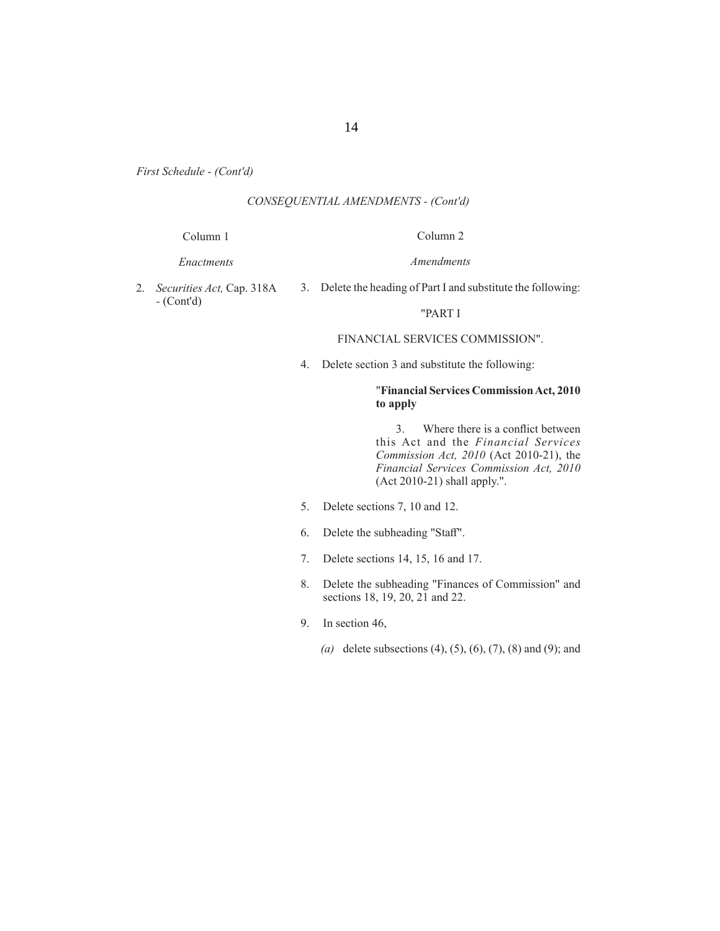## *CONSEQUENTIAL AMENDMENTS - (Cont'd)*

#### Column 1

# Column 2 *Amendments*

*Enactments*

3. Delete the heading of Part I and substitute the following:

2. *Securities Act,* Cap. 318A *-* (Cont'd)

# "PART I

## FINANCIAL SERVICES COMMISSION".

4. Delete section 3 and substitute the following:

## "**Financial Services Commission Act, 2010 to apply**

3. Where there is a conflict between this Act and the *Financial Services Commission Act, 2010* (Act 2010-21), the *Financial Services Commission Act, 2010* (Act 2010-21) shall apply.".

- 5. Delete sections 7, 10 and 12.
- 6. Delete the subheading "Staff".
- 7. Delete sections 14, 15, 16 and 17.
- 8. Delete the subheading "Finances of Commission" and sections 18, 19, 20, 21 and 22.
- 9. In section 46,
	- *(a)* delete subsections (4), (5), (6), (7), (8) and (9); and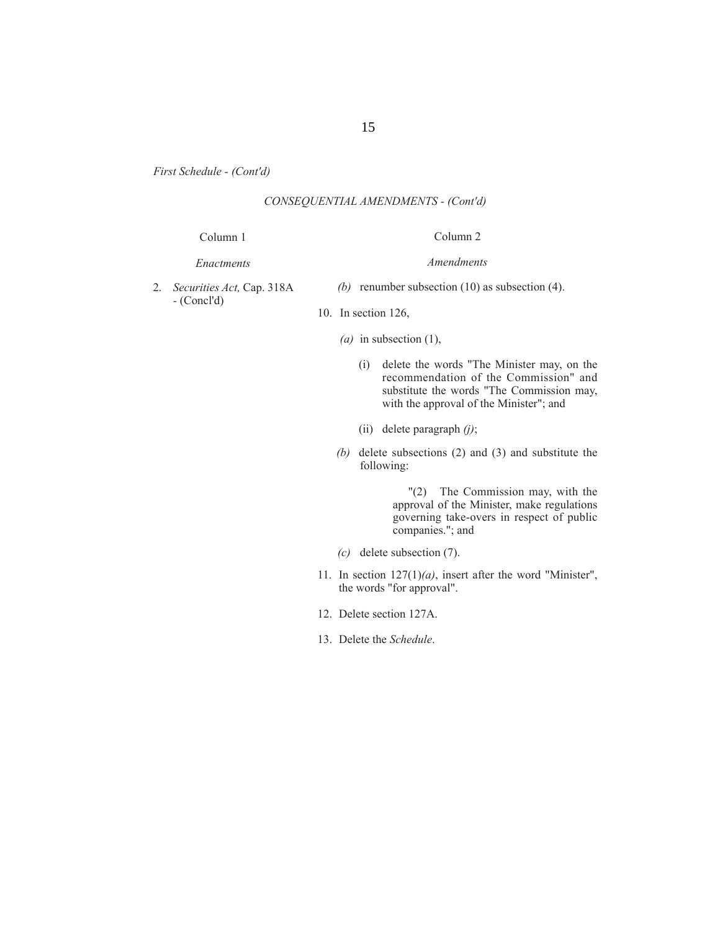## *CONSEQUENTIAL AMENDMENTS - (Cont'd)*

#### Column 1

*Enactments*

2. *Securities Act,* Cap. 318A *-* (Concl'd)

*(b)* renumber subsection (10) as subsection (4).

Column 2

*Amendments*

- 10. In section 126,
	- *(a)* in subsection (1),
		- (i) delete the words "The Minister may, on the recommendation of the Commission" and substitute the words "The Commission may, with the approval of the Minister"; and
		- (ii) delete paragraph *(j)*;
	- *(b)* delete subsections (2) and (3) and substitute the following:

 "(2) The Commission may, with the approval of the Minister, make regulations governing take-overs in respect of public companies."; and

- *(c)* delete subsection (7).
- 11. In section 127(1)*(a)*, insert after the word "Minister", the words "for approval".
- 12. Delete section 127A.
- 13. Delete the *Schedule*.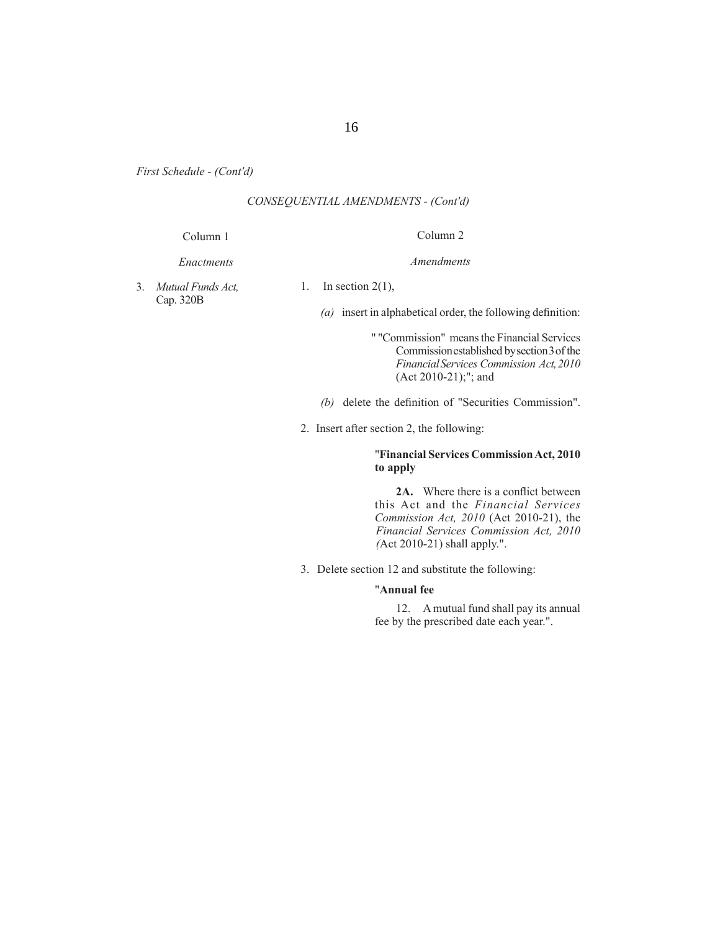## *CONSEQUENTIAL AMENDMENTS - (Cont'd)*

#### Column 1

# Column 2 *Amendments*

*Enactments*

3. *Mutual Funds Act,*  Cap. 320B

1. In section  $2(1)$ ,

 $(a)$  insert in alphabetical order, the following definition:

- " "Commission" means the Financial Services Commission established by section 3 of the *Financial Services Commission Act, 2010* (Act 2010-21);"; and
- *(b)* delete the definition of "Securities Commission".
- 2. Insert after section 2, the following:

## "**Financial Services Commission Act, 2010 to apply**

2A. Where there is a conflict between this Act and the *Financial Services Commission Act, 2010* (Act 2010-21), the  *Financial Services Commission Act, 2010 (*Act 2010-21) shall apply.".

3. Delete section 12 and substitute the following:

#### "**Annual fee**

 12. A mutual fund shall pay its annual fee by the prescribed date each year.".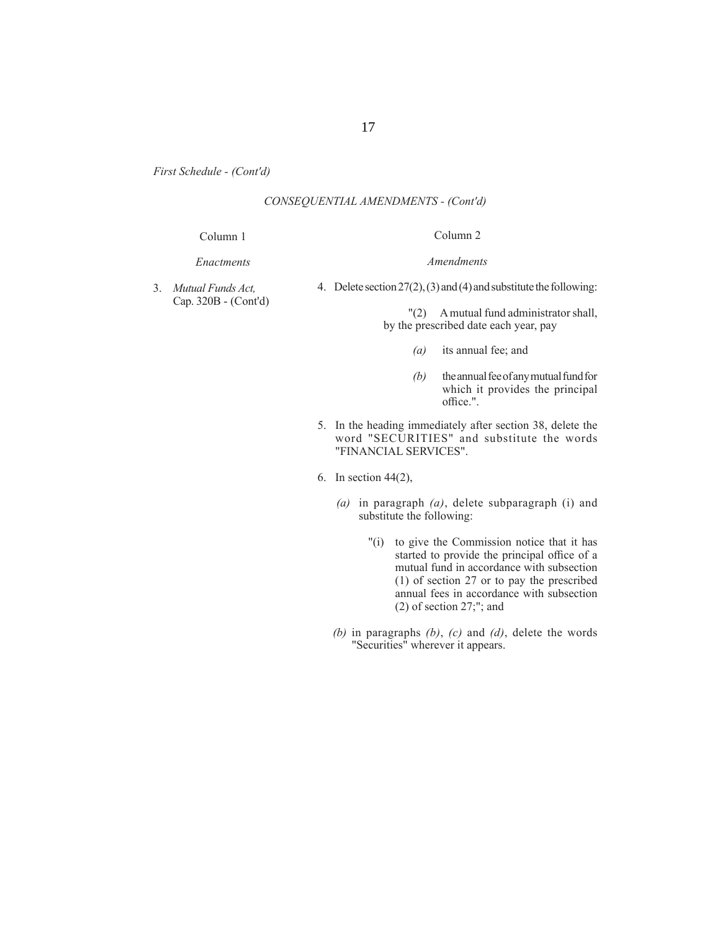## *CONSEQUENTIAL AMENDMENTS - (Cont'd)*

#### Column 1

#### *Enactments*

# Column 2

3. *Mutual Funds Act,*  Cap. 320B - (Cont'd) 4. Delete section 27(2), (3) and (4) and substitute the following:

*Amendments*

 "(2) A mutual fund administrator shall, by the prescribed date each year, pay

- *(a)* its annual fee; and
- *(b)* the annual fee of any mutual fund for which it provides the principal office.".
- 5. In the heading immediately after section 38, delete the word "SECURITIES" and substitute the words "FINANCIAL SERVICES".
- 6. In section 44(2),
	- *(a)* in paragraph *(a)*, delete subparagraph (i) and substitute the following:
		- "(i) to give the Commission notice that it has started to provide the principal office of a mutual fund in accordance with subsection (1) of section 27 or to pay the prescribed annual fees in accordance with subsection (2) of section 27;"; and
	- *(b)* in paragraphs *(b)*, *(c)* and *(d)*, delete the words "Securities" wherever it appears.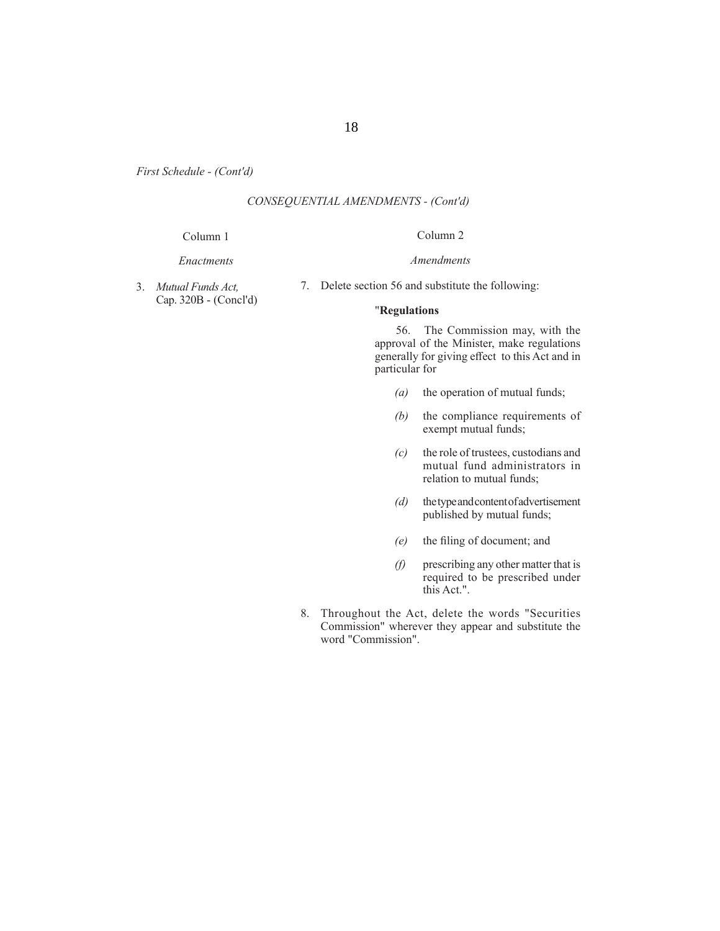## *CONSEQUENTIAL AMENDMENTS - (Cont'd)*

#### Column 1

## Column 2

*Amendments*

*Enactments*

3. *Mutual Funds Act,*  Cap. 320B - (Concl'd) 7. Delete section 56 and substitute the following:

#### "**Regulations**

 56. The Commission may, with the approval of the Minister, make regulations generally for giving effect to this Act and in particular for

- *(a)* the operation of mutual funds;
- *(b)* the compliance requirements of exempt mutual funds;
- *(c)* the role of trustees, custodians and mutual fund administrators in relation to mutual funds;
- *(d)* the type and content of advertisement published by mutual funds;
- *(e)* the filing of document; and
- *(f)* prescribing any other matter that is required to be prescribed under this Act.".
- 8. Throughout the Act, delete the words "Securities Commission" wherever they appear and substitute the word "Commission".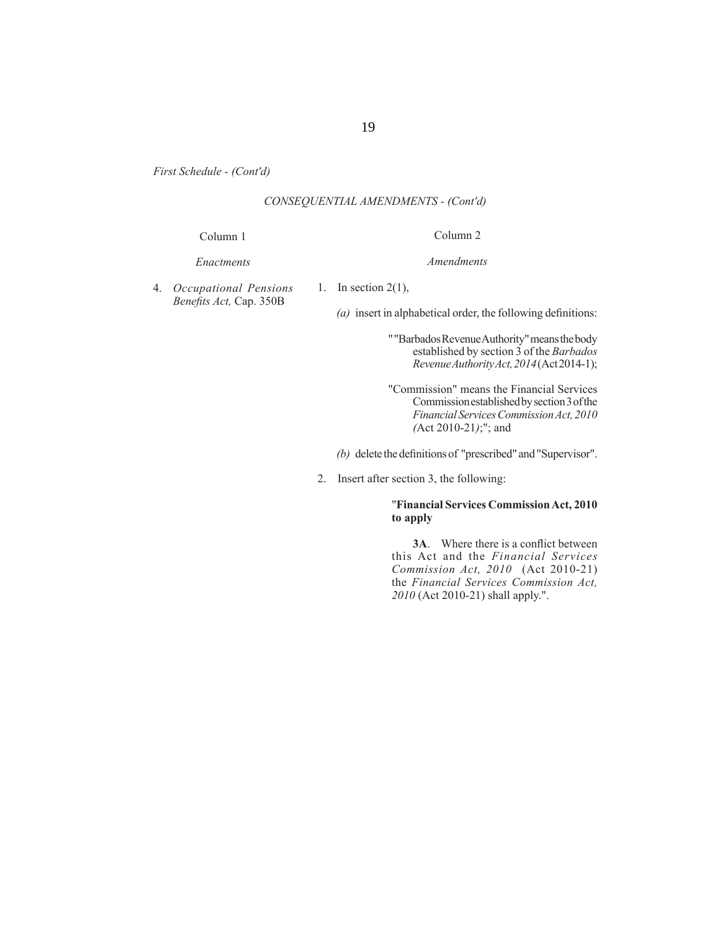## *CONSEQUENTIAL AMENDMENTS - (Cont'd)*

#### Column 1

## *Enactments*

4. *Occupational Pensions Benefi ts Act,* Cap. 350B

1. In section  $2(1)$ ,

 $(a)$  insert in alphabetical order, the following definitions:

Column 2

*Amendments*

" "Barbados Revenue Authority" means the body established by section 3 of the *Barbados Revenue Authority Act, 2014* (Act 2014-1);

"Commission" means the Financial Services Commission established by section 3 of the *Financial Services Commission Act, 2010 (*Act 2010-21*)*;"; and

*(b)* delete the definitions of "prescribed" and "Supervisor".

2. Insert after section 3, the following:

## "**Financial Services Commission Act, 2010 to apply**

**3A.** Where there is a conflict between this Act and the *Financial Services Commission Act, 2010* (Act 2010-21) the *Financial Services Commission Act, 2010* (Act 2010-21) shall apply.".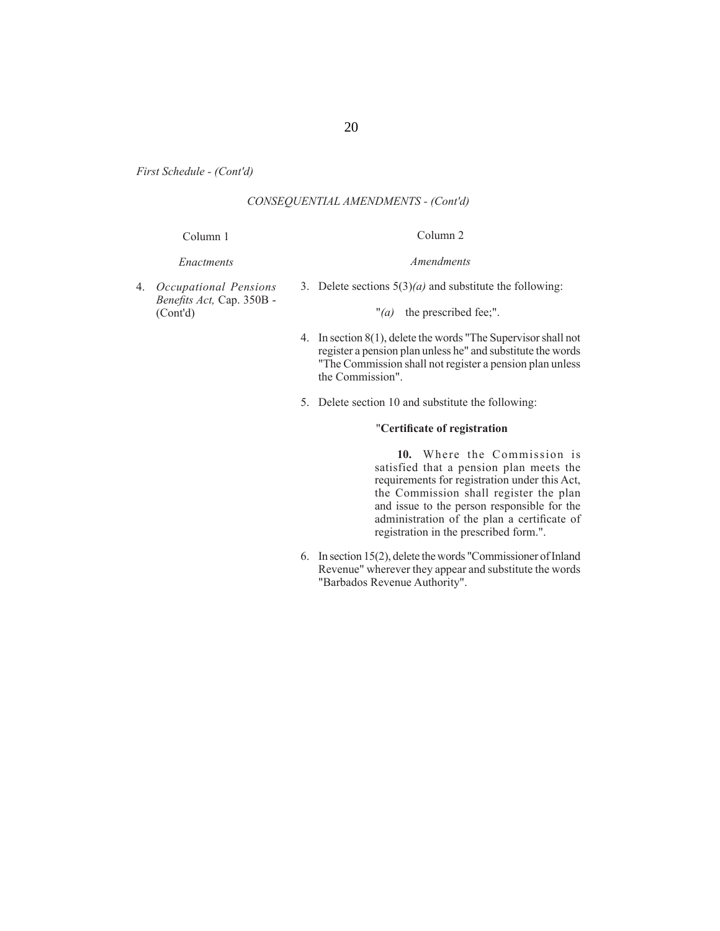## *CONSEQUENTIAL AMENDMENTS - (Cont'd)*

#### Column 1

#### *Enactments*

4. *Occupational Pensions Benefi ts Act,* Cap. 350B - (Cont'd)

3. Delete sections 5(3)*(a)* and substitute the following:

"*(a)* the prescribed fee;".

- 4. In section 8(1), delete the words "The Supervisor shall not register a pension plan unless he" and substitute the words "The Commission shall not register a pension plan unless the Commission".
- 5. Delete section 10 and substitute the following:

## "**Certifi cate of registration**

 **10.** Where the Commission is satisfied that a pension plan meets the requirements for registration under this Act, the Commission shall register the plan and issue to the person responsible for the administration of the plan a certificate of registration in the prescribed form.".

6. In section 15(2), delete the words "Commissioner of Inland Revenue" wherever they appear and substitute the words "Barbados Revenue Authority".

- 
- 

*Amendments*

Column 2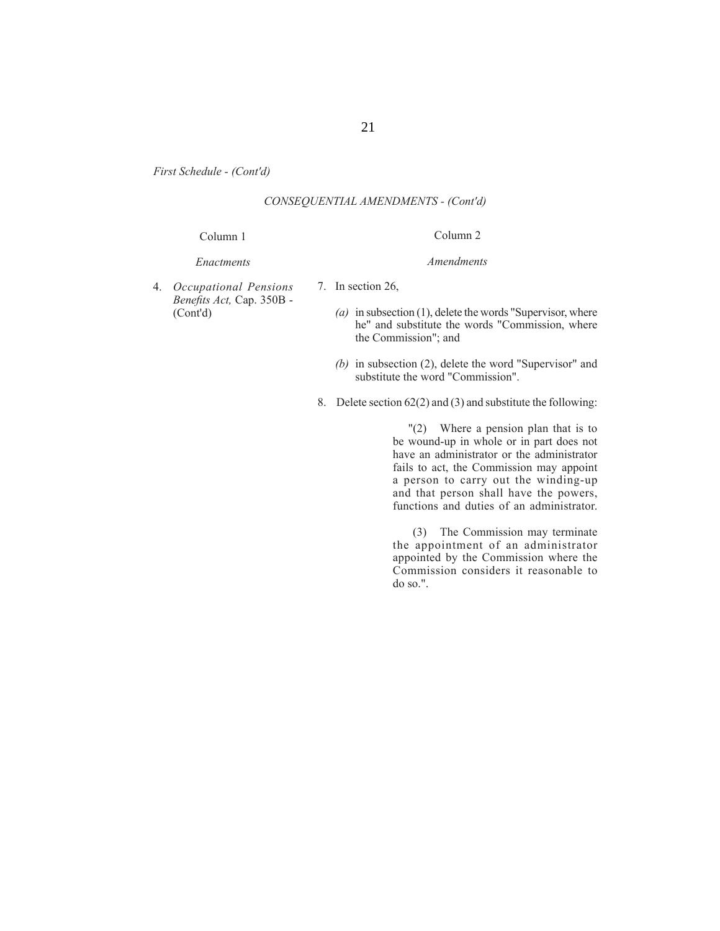21

*First Schedule - (Cont'd)*

## *CONSEQUENTIAL AMENDMENTS - (Cont'd)*

#### Column 1

#### *Enactments*

- 4. *Occupational Pensions Benefi ts Act,* Cap. 350B - (Cont'd)
- 7. In section 26,
	- *(a)* in subsection (1), delete the words "Supervisor, where he" and substitute the words "Commission, where the Commission"; and

Column 2

*Amendments*

- *(b)* in subsection (2), delete the word "Supervisor" and substitute the word "Commission".
- 8. Delete section 62(2) and (3) and substitute the following:

 "(2) Where a pension plan that is to be wound-up in whole or in part does not have an administrator or the administrator fails to act, the Commission may appoint a person to carry out the winding-up and that person shall have the powers, functions and duties of an administrator.

 (3) The Commission may terminate the appointment of an administrator appointed by the Commission where the Commission considers it reasonable to do so.".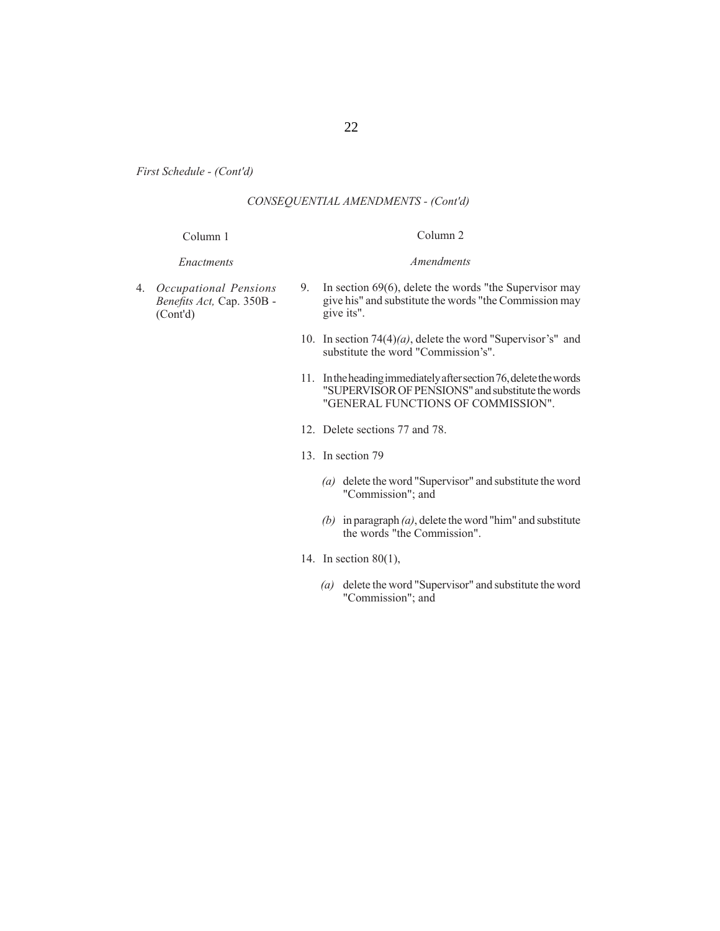## *CONSEQUENTIAL AMENDMENTS - (Cont'd)*

#### Column 1

## *Enactments*

# Column 2 *Amendments*

- 4. *Occupational Pensions Benefi ts Act,* Cap. 350B - (Cont'd)
- 9. In section 69(6), delete the words "the Supervisor may give his" and substitute the words "the Commission may give its".
- 10. In section 74(4)*(a)*, delete the word "Supervisor's" and substitute the word "Commission's".
- 11. In the heading immediately after section 76, delete the words "SUPERVISOR OF PENSIONS" and substitute the words "GENERAL FUNCTIONS OF COMMISSION".
- 12. Delete sections 77 and 78.
- 13. In section 79
	- *(a)* delete the word "Supervisor" and substitute the word "Commission"; and
	- *(b)* in paragraph *(a)*, delete the word "him" and substitute the words "the Commission".
- 14. In section 80(1),
	- *(a)* delete the word "Supervisor" and substitute the word "Commission"; and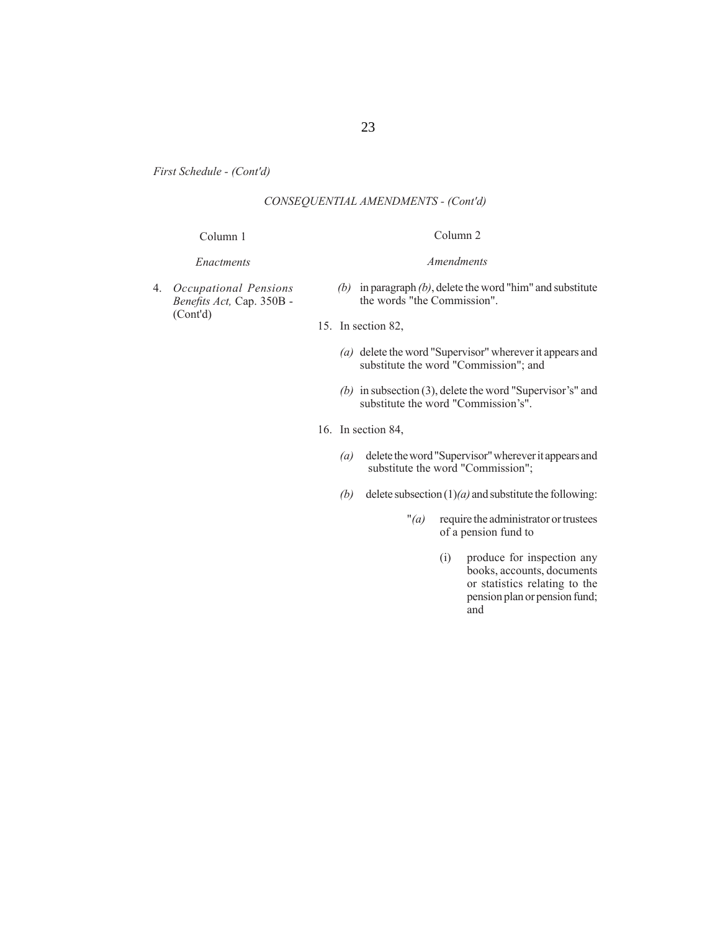## *CONSEQUENTIAL AMENDMENTS - (Cont'd)*

#### Column 1

#### *Enactments*

4. *Occupational Pensions Benefi ts Act,* Cap. 350B - (Cont'd)

## Column 2

#### *Amendments*

- *(b)* in paragraph *(b)*, delete the word "him" and substitute the words "the Commission".
- 15. In section 82,
	- *(a)* delete the word "Supervisor" wherever it appears and substitute the word "Commission"; and
	- *(b)* in subsection (3), delete the word "Supervisor's" and substitute the word "Commission's".
- 16. In section 84,
	- *(a)* delete the word "Supervisor" wherever it appears and substitute the word "Commission";
	- *(b)* delete subsection (1)*(a)* and substitute the following:
		- "*(a)* require the administrator or trustees of a pension fund to
			- (i) produce for inspection any books, accounts, documents or statistics relating to the pension plan or pension fund; and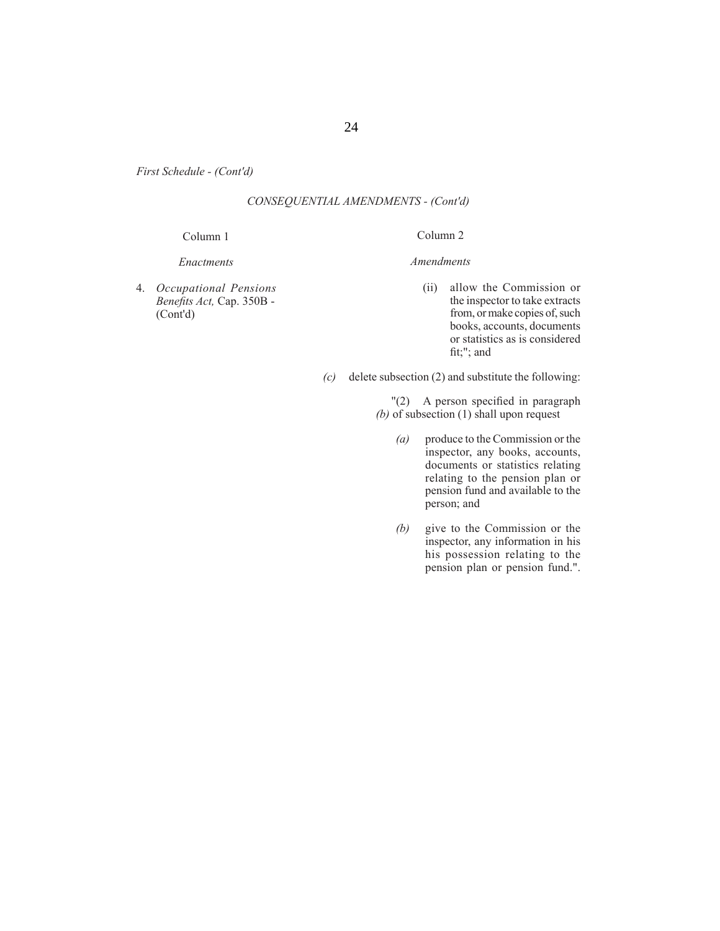## *CONSEQUENTIAL AMENDMENTS - (Cont'd)*

#### Column 1

#### *Enactments*

4. *Occupational Pensions Benefi ts Act,* Cap. 350B - (Cont'd)

*Amendments*

Column 2

- (ii) allow the Commission or the inspector to take extracts from, or make copies of, such books, accounts, documents or statistics as is considered fit;"; and
- *(c)* delete subsection (2) and substitute the following:
	- "(2) A person specified in paragraph *(b)* of subsection (1) shall upon request
		- *(a)* produce to the Commission or the inspector, any books, accounts, documents or statistics relating relating to the pension plan or pension fund and available to the person; and
		- *(b)* give to the Commission or the inspector, any information in his his possession relating to the pension plan or pension fund.".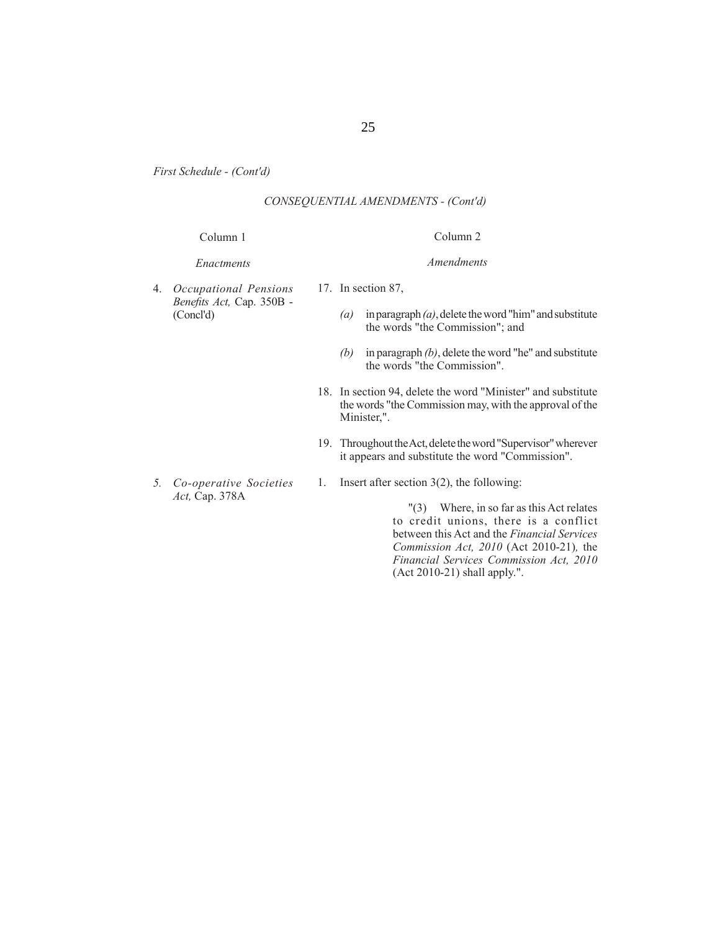25

*First Schedule - (Cont'd)*

## *CONSEQUENTIAL AMENDMENTS - (Cont'd)*

## Column 1

#### *Enactments*

- 4. *Occupational Pensions Benefi ts Act,* Cap. 350B - (Concl'd)
- 17. In section 87,
	- *(a)* in paragraph *(a)*, delete the word "him" and substitute the words "the Commission"; and

Column 2

*Amendments*

- *(b)* in paragraph *(b)*, delete the word "he" and substitute the words "the Commission".
- 18. In section 94, delete the word "Minister" and substitute the words "the Commission may, with the approval of the Minister,".
- 19. Throughout the Act, delete the word "Supervisor" wherever it appears and substitute the word "Commission".
- *Act,* Cap. 378A
- 1. Insert after section 3(2), the following:

 "(3) Where, in so far as this Act relates to credit unions, there is a conflict between this Act and the *Financial Services Commission Act, 2010* (Act 2010-21)*,* the *Financial Services Commission Act, 2010*  (Act 2010-21) shall apply.".

- 
- *5. Co-operative Societies*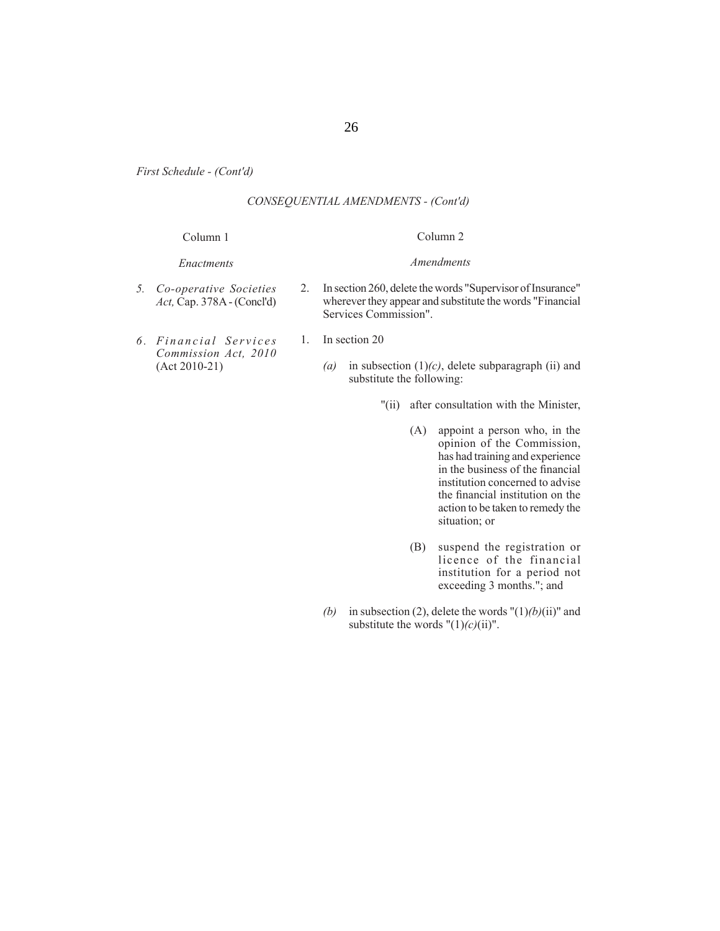## *CONSEQUENTIAL AMENDMENTS - (Cont'd)*

## Column 1 *Enactments* Column 2 *Amendments* 2. In section 260, delete the words "Supervisor of Insurance"

- *5. Co-operative Societies Act,* Cap. 378A - (Concl'd)
- *6 . F i n a n c i a l S e r v i c e s Commission Act, 2010*  (Act 2010-21)
- 1. In section 20

Services Commission".

*(a)* in subsection (1)*(c)*, delete subparagraph (ii) and substitute the following:

wherever they appear and substitute the words "Financial

- "(ii) after consultation with the Minister,
	- (A) appoint a person who, in the opinion of the Commission, has had training and experience in the business of the financial institution concerned to advise the financial institution on the action to be taken to remedy the situation; or
	- (B) suspend the registration or licence of the financial institution for a period not exceeding 3 months."; and
- *(b)* in subsection (2), delete the words " $(1)$ *(b)* $(i$ i)" and substitute the words  $"(1)(c)(ii)$ ".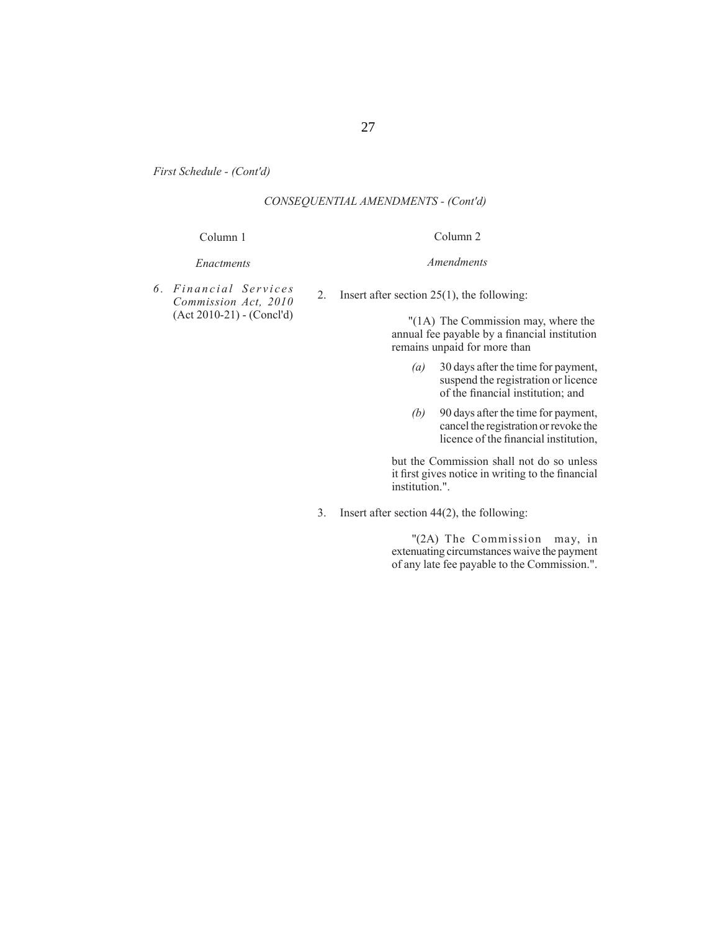## *CONSEQUENTIAL AMENDMENTS - (Cont'd)*

#### Column 1

#### *Enactments*

*6 . F i n a n c i a l S e r v i c e s Commission Act, 2010*  (Act 2010-21) - (Concl'd) *Amendments*

Column 2

2. Insert after section 25(1), the following:

 "(1A) The Commission may, where the annual fee payable by a financial institution remains unpaid for more than

- *(a)* 30 days after the time for payment, suspend the registration or licence of the financial institution; and
- *(b)* 90 days after the time for payment, cancel the registration or revoke the licence of the financial institution.

 but the Commission shall not do so unless it first gives notice in writing to the financial institution.".

3. Insert after section 44(2), the following:

 "(2A) The Commission may, in extenuating circumstances waive the payment of any late fee payable to the Commission.".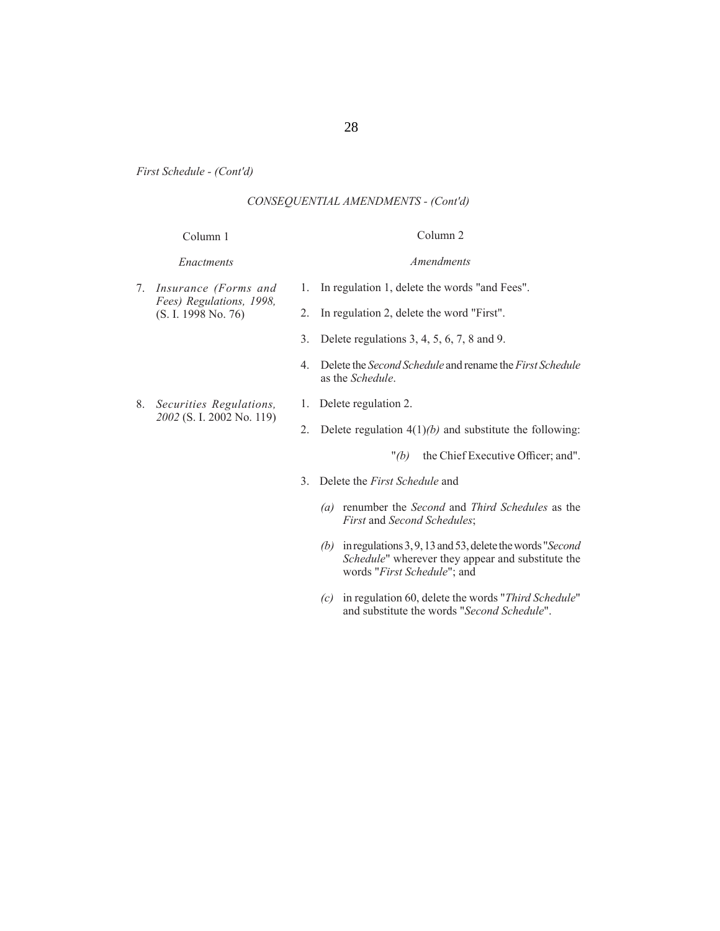## *CONSEQUENTIAL AMENDMENTS - (Cont'd)*

## Column 1

# Column 2 *Amendments*

# *Enactments*

7. *Insurance (Forms and Fees) Regulations, 1998,*  (S. I. 1998 No. 76)

8. *Securities Regulations, 2002* (S. I. 2002 No. 119)

- 1. In regulation 1, delete the words "and Fees".
- 2. In regulation 2, delete the word "First".
- 3. Delete regulations 3, 4, 5, 6, 7, 8 and 9.
- 4. Delete the *Second Schedule* and rename the *First Schedule* as the *Schedule*.
- 1. Delete regulation 2.
- 2. Delete regulation 4(1)*(b)* and substitute the following:

"(b) the Chief Executive Officer; and".

- 3. Delete the *First Schedule* and
	- *(a)* renumber the *Second* and *Third Schedules* as the *First* and *Second Schedules*;
	- *(b)* in regulations 3, 9, 13 and 53, delete the words "*Second Schedule*" wherever they appear and substitute the words "*First Schedule*"; and
	- *(c)* in regulation 60, delete the words "*Third Schedule*" and substitute the words "*Second Schedule*".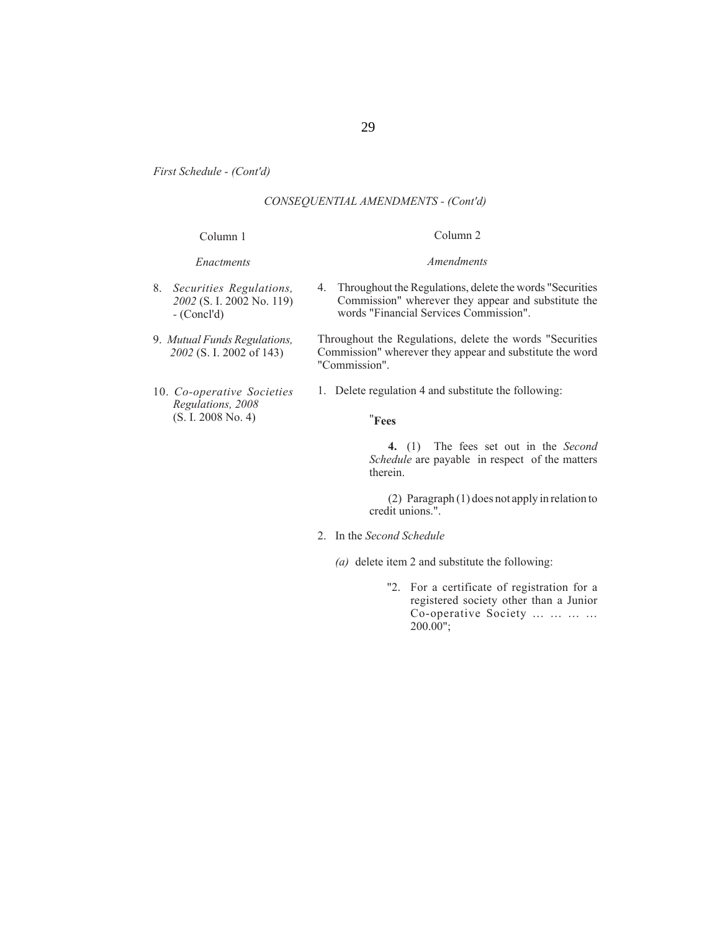## *CONSEQUENTIAL AMENDMENTS - (Cont'd)*

#### Column 1

#### *Enactments*

- 8. *Securities Regulations, 2002* (S. I. 2002 No. 119)  *-* (Concl'd)
- 9. *Mutual Funds Regulations, 2002* (S. I. 2002 of 143)
- 10. *Co-operative Societies Regulations, 2008*  (S. I. 2008 No. 4)

#### Column 2

#### *Amendments*

4. Throughout the Regulations, delete the words "Securities Commission" wherever they appear and substitute the words "Financial Services Commission".

Throughout the Regulations, delete the words "Securities Commission" wherever they appear and substitute the word "Commission".

1. Delete regulation 4 and substitute the following:

## "**Fees**

**4.** (1) The fees set out in the *Second Schedule* are payable in respect of the matters therein.

 (2) Paragraph (1) does not apply in relation to credit unions.".

- 2. In the *Second Schedule*
	- *(a)* delete item 2 and substitute the following:
		- "2. For a certificate of registration for a registered society other than a Junior Co-operative Society … … … … 200.00";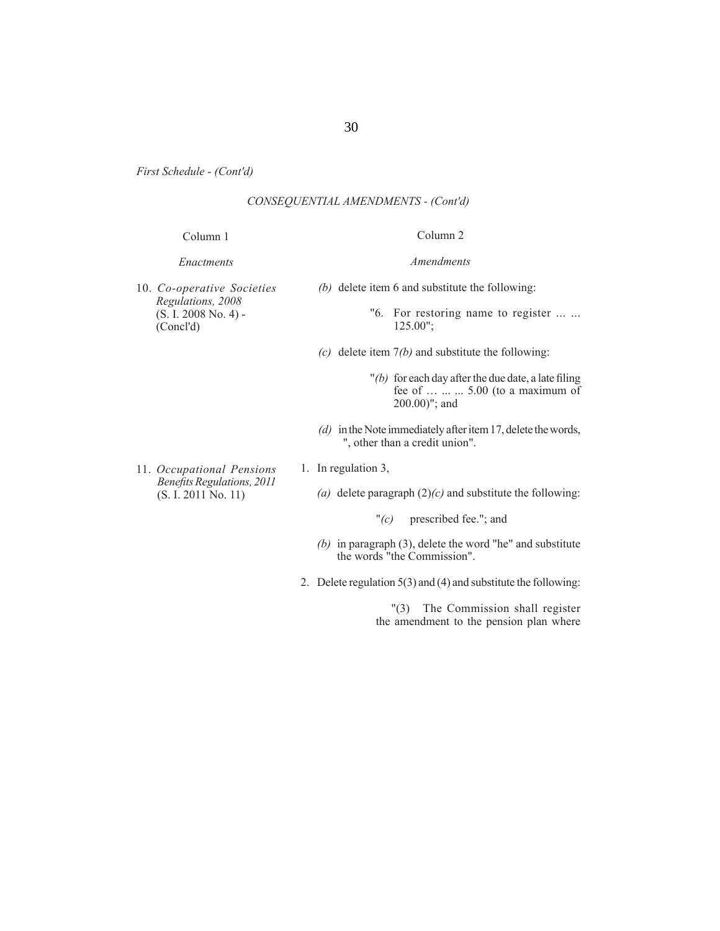## *CONSEQUENTIAL AMENDMENTS - (Cont'd)*

#### Column 1

#### *Enactments*

10. *Co-operative Societies Regulations, 2008*  (S. I. 2008 No. 4) - (Concl'd)

*(b)* delete item 6 and substitute the following:

Column 2

*Amendments*

- "6. For restoring name to register ... ... 125.00";
- *(c)* delete item 7*(b)* and substitute the following:
	- $''(b)$  for each day after the due date, a late filing fee of ... ... ... 5.00 (to a maximum of 200.00)"; and
- *(d)* in the Note immediately after item 17, delete the words, ", other than a credit union".
- 11. *Occupational Pensions Benefi ts Regulations, 2011* (S. I. 2011 No. 11)
- 1. In regulation 3,
	- *(a)* delete paragraph (2)*(c)* and substitute the following:
		- "*(c)* prescribed fee."; and
	- *(b)* in paragraph (3), delete the word "he" and substitute the words "the Commission".
- 2. Delete regulation 5(3) and (4) and substitute the following:

 "(3) The Commission shall register the amendment to the pension plan where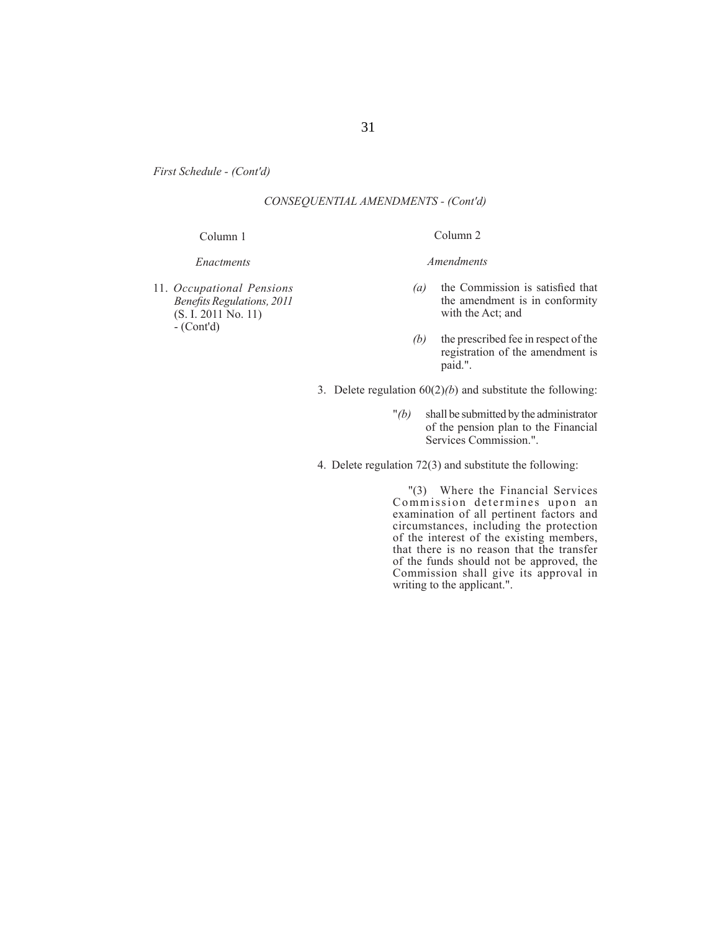## *CONSEQUENTIAL AMENDMENTS - (Cont'd)*

#### Column 1

#### *Enactments*

11. *Occupational Pensions Benefi ts Regulations, 2011* (S. I. 2011 No. 11)  $-$  (Cont'd)

#### Column 2

#### *Amendments*

- *(a)* the Commission is satisfied that the amendment is in conformity with the Act; and
- *(b)* the prescribed fee in respect of the registration of the amendment is paid.".
- 3. Delete regulation  $60(2)(b)$  and substitute the following:
	- "*(b)* shall be submitted by the administrator of the pension plan to the Financial Services Commission.".
- 4. Delete regulation 72(3) and substitute the following:

 "(3) Where the Financial Services Commission determines upon an examination of all pertinent factors and circumstances, including the protection of the interest of the existing members, that there is no reason that the transfer of the funds should not be approved, the Commission shall give its approval in writing to the applicant.".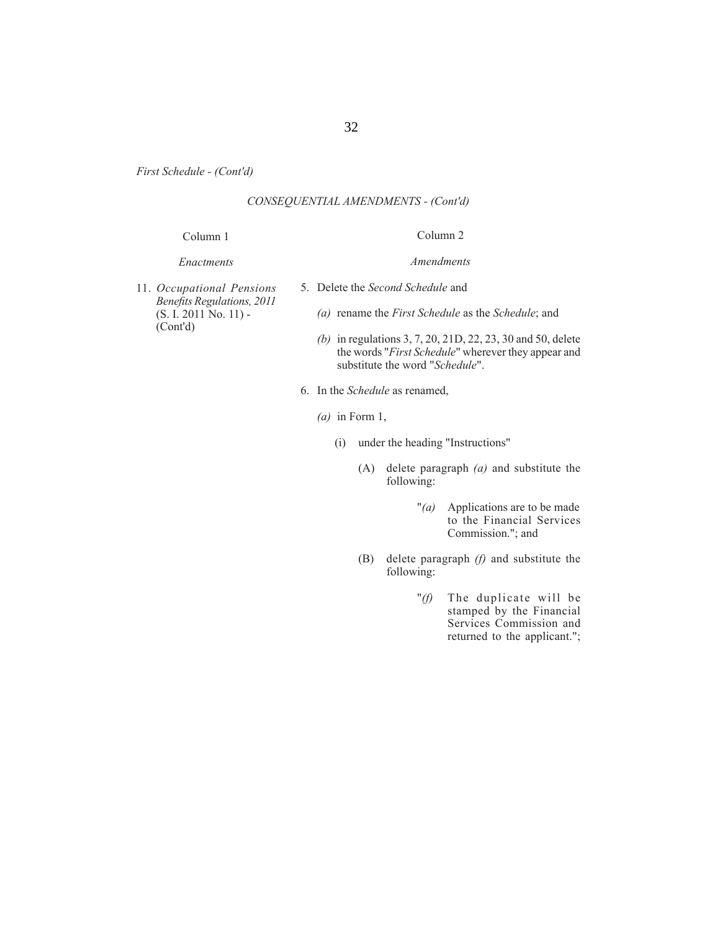## *CONSEQUENTIAL AMENDMENTS - (Cont'd)*

#### Column 1

# Column 2 *Amendments*

#### *Enactments*

- 5. Delete the *Second Schedule* and
- 11. *Occupational Pensions Benefi ts Regulations, 2011* (S. I. 2011 No. 11) - (Cont'd)
- *(a)* rename the *First Schedule* as the *Schedule*; and
- *(b)* in regulations 3, 7, 20, 21D, 22, 23, 30 and 50, delete the words "*First Schedule*" wherever they appear and substitute the word "*Schedule*".
- 6. In the *Schedule* as renamed,
	- *(a)* in Form 1,
		- (i) under the heading "Instructions"
			- (A) delete paragraph *(a)* and substitute the following:
				- "*(a)* Applications are to be made to the Financial Services Commission."; and
			- (B) delete paragraph *(f)* and substitute the following:
				- "*(f)* The duplicate will be stamped by the Financial Services Commission and returned to the applicant.";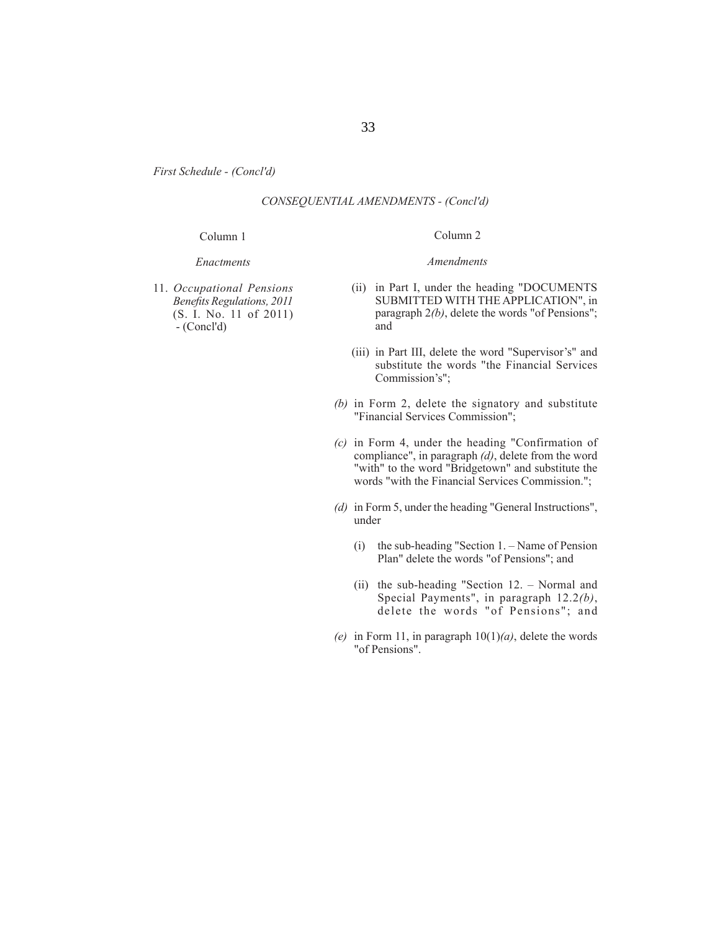## *CONSEQUENTIAL AMENDMENTS - (Concl'd)*

#### Column 1

#### *Enactments*

11. *Occupational Pensions Benefi ts Regulations, 2011* (S. I. No. 11 of 2011) - (Concl'd)

#### Column 2

#### *Amendments*

- (ii) in Part I, under the heading "DOCUMENTS SUBMITTED WITH THE APPLICATION", in paragraph 2*(b)*, delete the words "of Pensions"; and
- (iii) in Part III, delete the word "Supervisor's" and substitute the words "the Financial Services Commission's";
- *(b)* in Form 2, delete the signatory and substitute "Financial Services Commission";
- *(c)* in Form 4, under the heading "Confirmation of compliance", in paragraph *(d)*, delete from the word "with" to the word "Bridgetown" and substitute the words "with the Financial Services Commission.";
- *(d)* in Form 5, under the heading "General Instructions", under
	- (i) the sub-heading "Section 1. Name of Pension Plan" delete the words "of Pensions"; and
	- (ii) the sub-heading "Section 12. Normal and Special Payments", in paragraph 12.2*(b)*, delete the words "of Pensions"; and
- *(e)* in Form 11, in paragraph  $10(1)(a)$ , delete the words "of Pensions".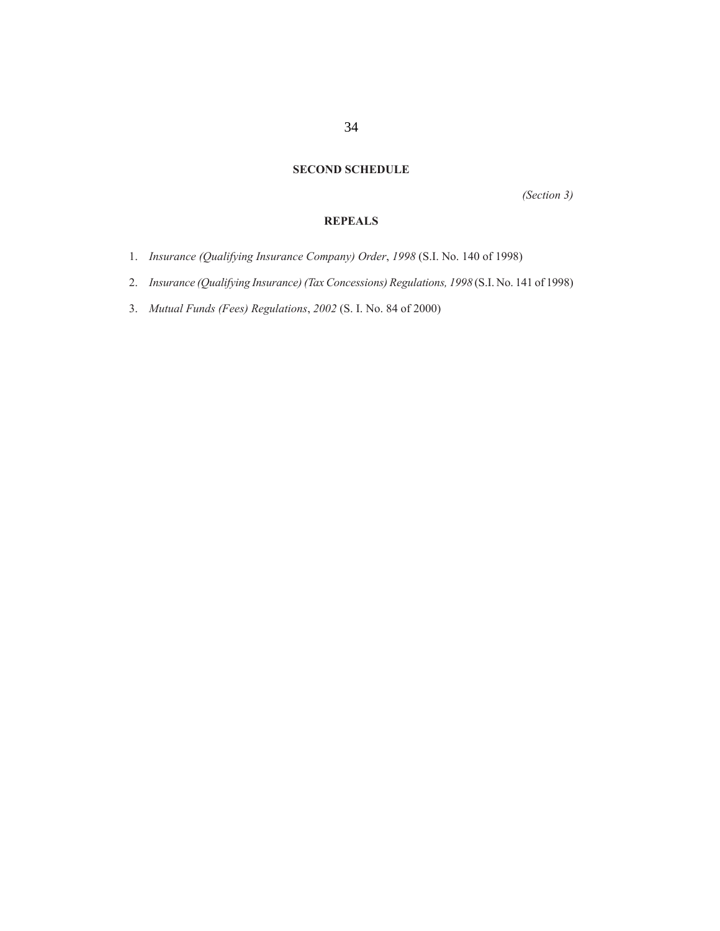## **SECOND SCHEDULE**

*(Section 3)*

## **REPEALS**

- 1. *Insurance (Qualifying Insurance Company) Order*, *1998* (S.I. No. 140 of 1998)
- 2. *Insurance (Qualifying Insurance) (Tax Concessions) Regulations, 1998* (S.I. No. 141 of 1998)
- 3. *Mutual Funds (Fees) Regulations*, *2002* (S. I. No. 84 of 2000)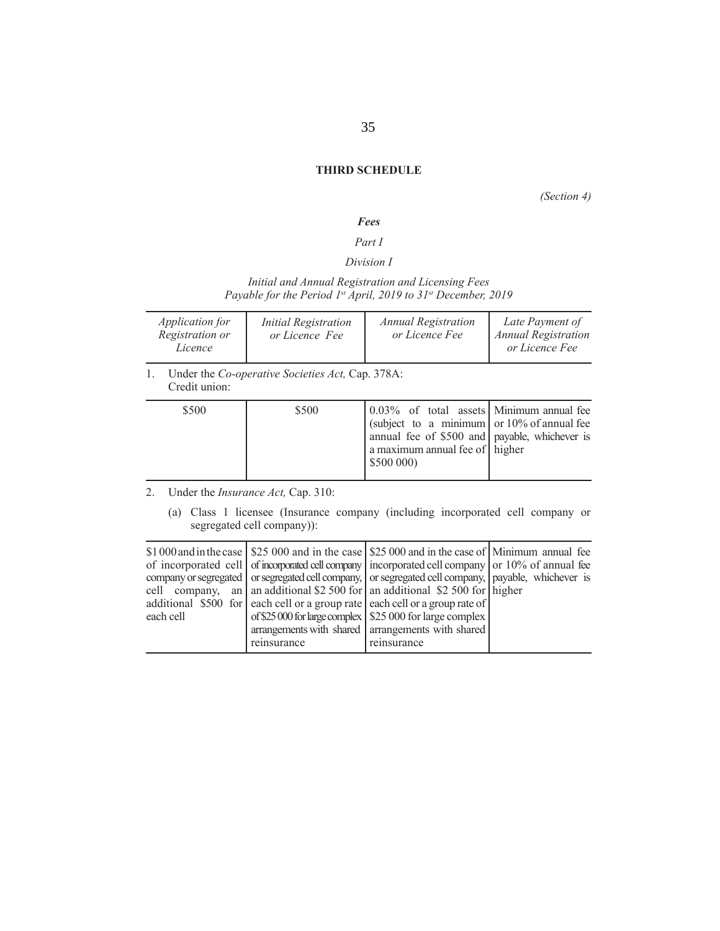## **THIRD SCHEDULE**

*(Section 4)* 

## *Fees*

## *Part I*

## *Division I*

## *Initial and Annual Registration and Licensing Fees Payable for the Period 1st April, 2019 to 31st December, 2019*

| Application for<br>Registration or<br>Licence | <b>Initial Registration</b><br>or Licence Fee   | <b>Annual Registration</b><br>or Licence Fee | Late Payment of<br><b>Annual Registration</b><br>or Licence Fee |
|-----------------------------------------------|-------------------------------------------------|----------------------------------------------|-----------------------------------------------------------------|
|                                               | Under the Co-operative Societies Act Can $378A$ |                                              |                                                                 |

1. Under the *Co-operative Societies Act,* Cap. 378A: Credit union:

| \$500 | \$500 | 0.03% of total assets Minimum annual fee<br>(subject to a minimum or $10\%$ of annual fee<br>annual fee of \$500 and payable, whichever is<br>a maximum annual fee of higher<br>\$500000 |  |
|-------|-------|------------------------------------------------------------------------------------------------------------------------------------------------------------------------------------------|--|
|-------|-------|------------------------------------------------------------------------------------------------------------------------------------------------------------------------------------------|--|

## 2. Under the *Insurance Act,* Cap. 310:

(a) Class 1 licensee (Insurance company (including incorporated cell company or segregated cell company)):

|           |             | \$1,000 and in the case   \$25,000 and in the case   \$25,000 and in the case of   Minimum annual fee<br>of incorporated cell of incorporated cell company incorporated cell company or 10% of annual fee |  |
|-----------|-------------|-----------------------------------------------------------------------------------------------------------------------------------------------------------------------------------------------------------|--|
|           |             | company or segregated or segregated cell company, or segregated cell company, payable, whichever is                                                                                                       |  |
|           |             | cell company, an an additional \$2 500 for an additional \$2 500 for higher                                                                                                                               |  |
|           |             | additional \$500 for each cell or a group rate each cell or a group rate of                                                                                                                               |  |
| each cell |             | of \$25 000 for large complex   \$25 000 for large complex                                                                                                                                                |  |
|           |             | arrangements with shared arrangements with shared                                                                                                                                                         |  |
|           | reinsurance | reinsurance                                                                                                                                                                                               |  |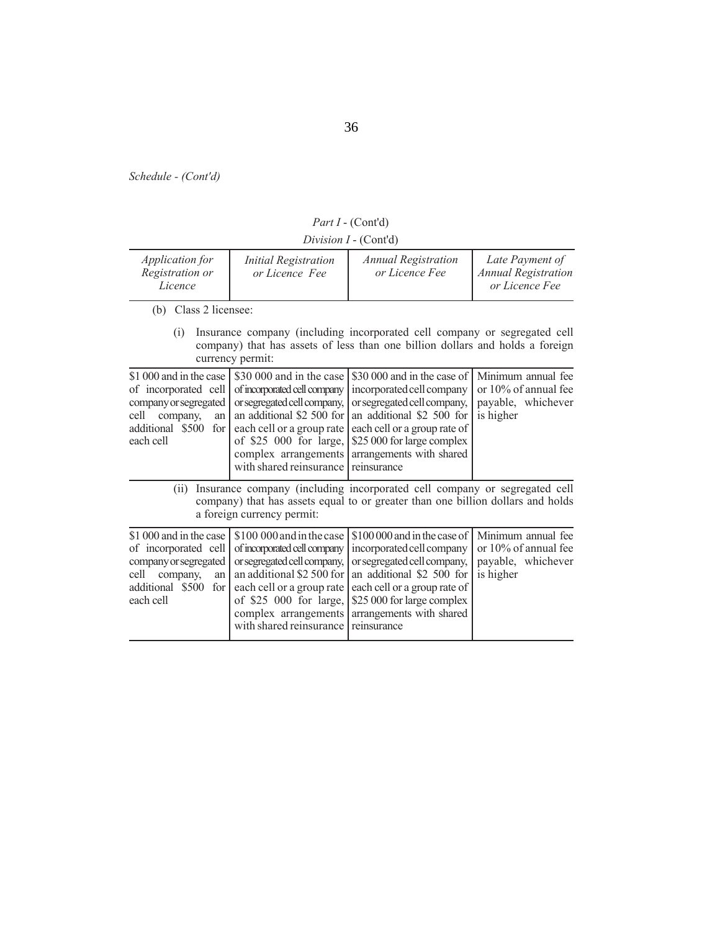*Part I* - (Cont'd)

*Division I* - (Cont'd)

| <i>Application for</i><br>Registration or<br>Licence                                                                                       | <b>Initial Registration</b><br>or Licence Fee                                                                                                                                                                                   | <b>Annual Registration</b><br>or Licence Fee                                                                                                                                                                                   | Late Payment of<br><b>Annual Registration</b><br>or Licence Fee               |
|--------------------------------------------------------------------------------------------------------------------------------------------|---------------------------------------------------------------------------------------------------------------------------------------------------------------------------------------------------------------------------------|--------------------------------------------------------------------------------------------------------------------------------------------------------------------------------------------------------------------------------|-------------------------------------------------------------------------------|
| (b) Class 2 licensee:                                                                                                                      |                                                                                                                                                                                                                                 |                                                                                                                                                                                                                                |                                                                               |
| (i)                                                                                                                                        | currency permit:                                                                                                                                                                                                                | Insurance company (including incorporated cell company or segregated cell<br>company) that has assets of less than one billion dollars and holds a foreign                                                                     |                                                                               |
| \$1 000 and in the case<br>of incorporated cell<br>company or segregated<br>company,<br>cell<br>an<br>additional \$500<br>for<br>each cell | \$30 000 and in the case<br>of incorporated cell company<br>or segregated cell company,<br>an additional \$2 500 for<br>each cell or a group rate<br>of \$25 000 for large,<br>complex arrangements<br>with shared reinsurance  | \$30 000 and in the case of<br>incorporated cell company<br>or segregated cell company,<br>an additional \$2 500 for<br>each cell or a group rate of<br>\$25 000 for large complex<br>arrangements with shared<br>reinsurance  | Minimum annual fee<br>or 10% of annual fee<br>payable, whichever<br>is higher |
| (ii)                                                                                                                                       | a foreign currency permit:                                                                                                                                                                                                      | Insurance company (including incorporated cell company or segregated cell<br>company) that has assets equal to or greater than one billion dollars and holds                                                                   |                                                                               |
| \$1,000 and in the case<br>of incorporated cell<br>company or segregated<br>company,<br>cell<br>an<br>additional \$500 for<br>each cell    | \$100 000 and in the case<br>of incorporated cell company<br>or segregated cell company,<br>an additional \$2 500 for<br>each cell or a group rate<br>of \$25 000 for large,<br>complex arrangements<br>with shared reinsurance | \$100 000 and in the case of<br>incorporated cell company<br>or segregated cell company,<br>an additional \$2 500 for<br>each cell or a group rate of<br>\$25 000 for large complex<br>arrangements with shared<br>reinsurance | Minimum annual fee<br>or 10% of annual fee<br>payable, whichever<br>is higher |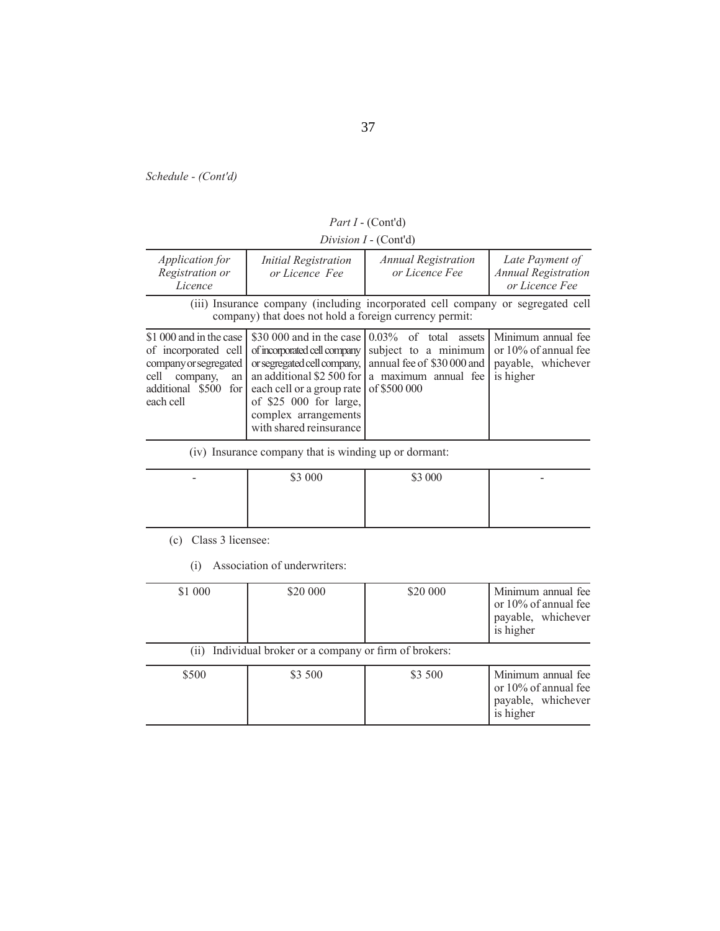|  | Part I - (Cont'd) |
|--|-------------------|
|--|-------------------|

*Division I* - (Cont'd)

| <i>Application for</i><br>Registration or<br>Licence                                                                                      | <b>Initial Registration</b><br>or Licence Fee                                                                                                       | <b>Annual Registration</b><br>or Licence Fee                                                                                                                                                      | Late Payment of<br><b>Annual Registration</b><br>or Licence Fee                  |
|-------------------------------------------------------------------------------------------------------------------------------------------|-----------------------------------------------------------------------------------------------------------------------------------------------------|---------------------------------------------------------------------------------------------------------------------------------------------------------------------------------------------------|----------------------------------------------------------------------------------|
| (iii) Insurance company (including incorporated cell company or segregated cell<br>company) that does not hold a foreign currency permit: |                                                                                                                                                     |                                                                                                                                                                                                   |                                                                                  |
| \$1,000 and in the case<br>of incorporated cell<br>company or segregated<br>company,<br>cell<br>an<br>additional \$500 for<br>each cell   | of incorporated cell company<br>each cell or a group rate of \$500 000<br>of \$25 000 for large,<br>complex arrangements<br>with shared reinsurance | \$30,000 and in the case $(0.03\%$ of total assets<br>subject to a minimum<br>or segregated cell company, annual fee of \$30 000 and<br>an additional \$2 500 for $ a \text{ maximum}$ annual fee | Minimum annual fee<br>or $10\%$ of annual fee<br>payable, whichever<br>is higher |

(iv) Insurance company that is winding up or dormant:

| $\overline{\phantom{0}}$ | \$3 000 | \$3 000 | $\overline{\phantom{0}}$ |
|--------------------------|---------|---------|--------------------------|
|                          |         |         |                          |
|                          |         |         |                          |

(c) Class 3 licensee:

(i) Association of underwriters:

| \$1 000 | \$20 000                                                | \$20 000 | Minimum annual fee<br>or $10\%$ of annual fee<br>payable, whichever<br>is higher |
|---------|---------------------------------------------------------|----------|----------------------------------------------------------------------------------|
|         | (ii) Individual broker or a company or firm of brokers: |          |                                                                                  |
| \$500   | \$3 500                                                 | \$3 500  | Minimum annual fee<br>or 10% of annual fee<br>payable, whichever<br>is higher    |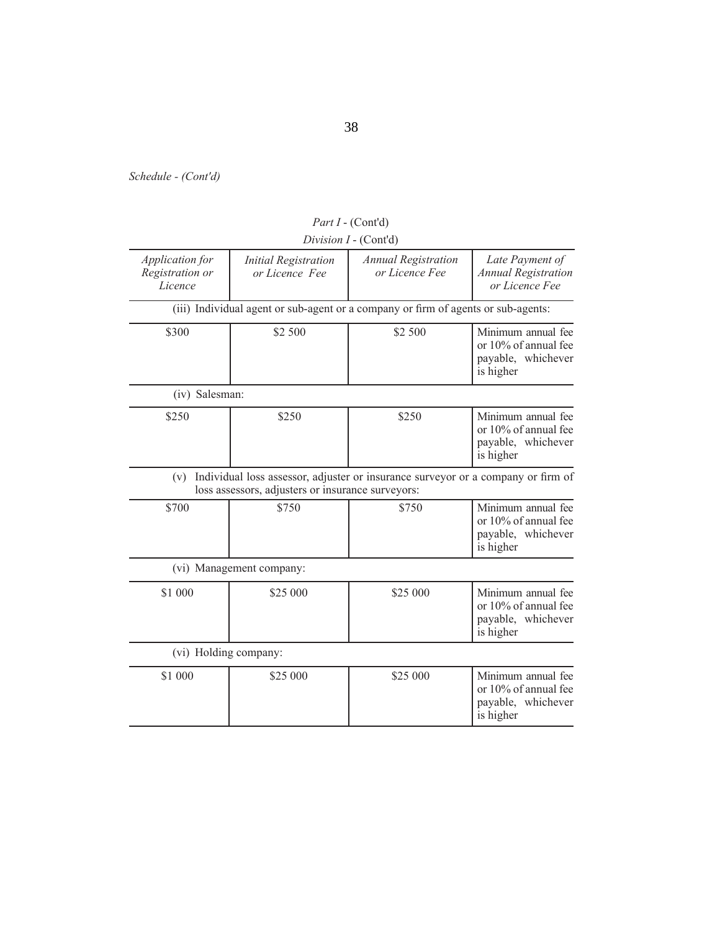|                                               |                                                   | Division I - (Cont'd)                                                             |                                                                               |
|-----------------------------------------------|---------------------------------------------------|-----------------------------------------------------------------------------------|-------------------------------------------------------------------------------|
| Application for<br>Registration or<br>Licence | <b>Initial Registration</b><br>or Licence Fee     | <b>Annual Registration</b><br>or Licence Fee                                      | Late Payment of<br><b>Annual Registration</b><br>or Licence Fee               |
|                                               |                                                   | (iii) Individual agent or sub-agent or a company or firm of agents or sub-agents: |                                                                               |
| \$300                                         | \$2 500                                           | \$2 500                                                                           | Minimum annual fee<br>or 10% of annual fee<br>payable, whichever<br>is higher |
| (iv) Salesman:                                |                                                   |                                                                                   |                                                                               |
| \$250                                         | \$250                                             | \$250                                                                             | Minimum annual fee<br>or 10% of annual fee<br>payable, whichever<br>is higher |
| (v)                                           | loss assessors, adjusters or insurance surveyors: | Individual loss assessor, adjuster or insurance surveyor or a company or firm of  |                                                                               |
| \$700                                         | \$750                                             | \$750                                                                             | Minimum annual fee<br>or 10% of annual fee<br>payable, whichever<br>is higher |
|                                               | (vi) Management company:                          |                                                                                   |                                                                               |
| \$1 000                                       | \$25 000                                          | \$25 000                                                                          | Minimum annual fee<br>or 10% of annual fee<br>payable, whichever<br>is higher |
| (vi) Holding company:                         |                                                   |                                                                                   |                                                                               |
| \$1 000                                       | \$25 000                                          | \$25 000                                                                          | Minimum annual fee<br>or 10% of annual fee<br>payable, whichever<br>is higher |

*Part I* - (Cont'd)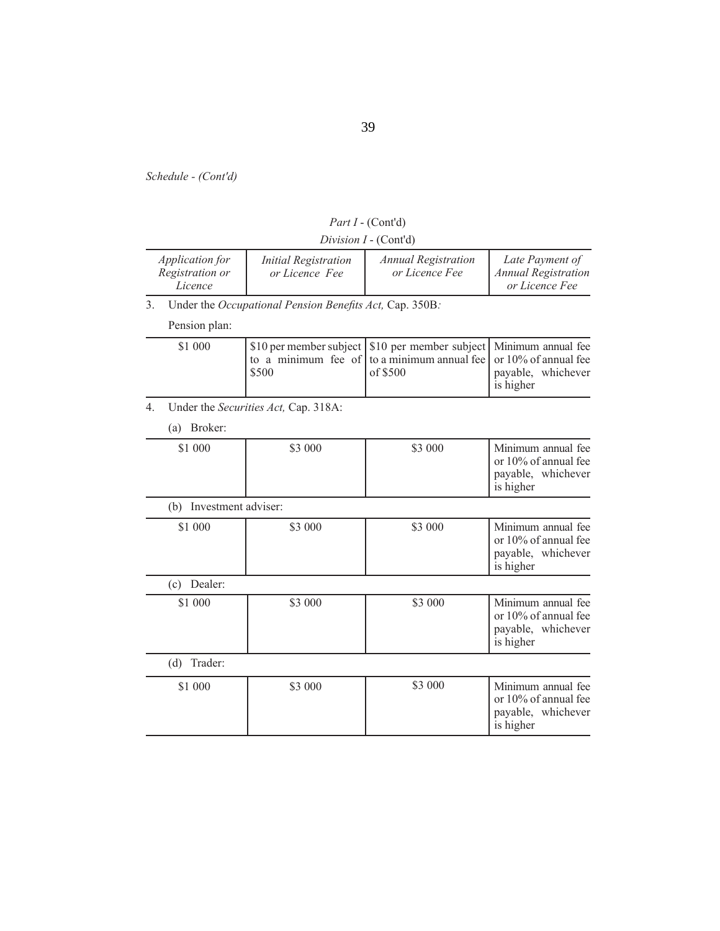| Part I - (Cont'd) |  |
|-------------------|--|
|-------------------|--|

|                                               |                                               | Division $I$ - (Cont'd)                      |                                                                 |
|-----------------------------------------------|-----------------------------------------------|----------------------------------------------|-----------------------------------------------------------------|
| Application for<br>Registration or<br>Licence | <i>Initial Registration</i><br>or Licence Fee | <b>Annual Registration</b><br>or Licence Fee | Late Payment of<br><b>Annual Registration</b><br>or Licence Fee |

3. Under the *Occupational Pension Benefits Act*, Cap. 350B:

Pension plan:

| \$1 000 | \$500 | S10 per member subject S10 per member subject Minimum annual fee<br>to a minimum fee of to a minimum annual fee or $10\%$ of annual fee<br>of $$500$ | payable, whichever<br>is higher |
|---------|-------|------------------------------------------------------------------------------------------------------------------------------------------------------|---------------------------------|
|         |       |                                                                                                                                                      |                                 |

4. Under the *Securities Act,* Cap. 318A:

(a) Broker:

| \$1 000                    | \$3 000 | \$3 000 | Minimum annual fee<br>or 10% of annual fee<br>payable, whichever<br>is higher    |
|----------------------------|---------|---------|----------------------------------------------------------------------------------|
| Investment adviser:<br>(b) |         |         |                                                                                  |
| \$1 000                    | \$3 000 | \$3 000 | Minimum annual fee<br>or 10% of annual fee<br>payable, whichever<br>is higher    |
| Dealer:<br>(c)             |         |         |                                                                                  |
| \$1 000                    | \$3 000 | \$3 000 | Minimum annual fee<br>or $10\%$ of annual fee<br>payable, whichever<br>is higher |
| (d)<br>Trader:             |         |         |                                                                                  |
| \$1 000                    | \$3 000 | \$3 000 | Minimum annual fee<br>or 10% of annual fee<br>payable, whichever<br>is higher    |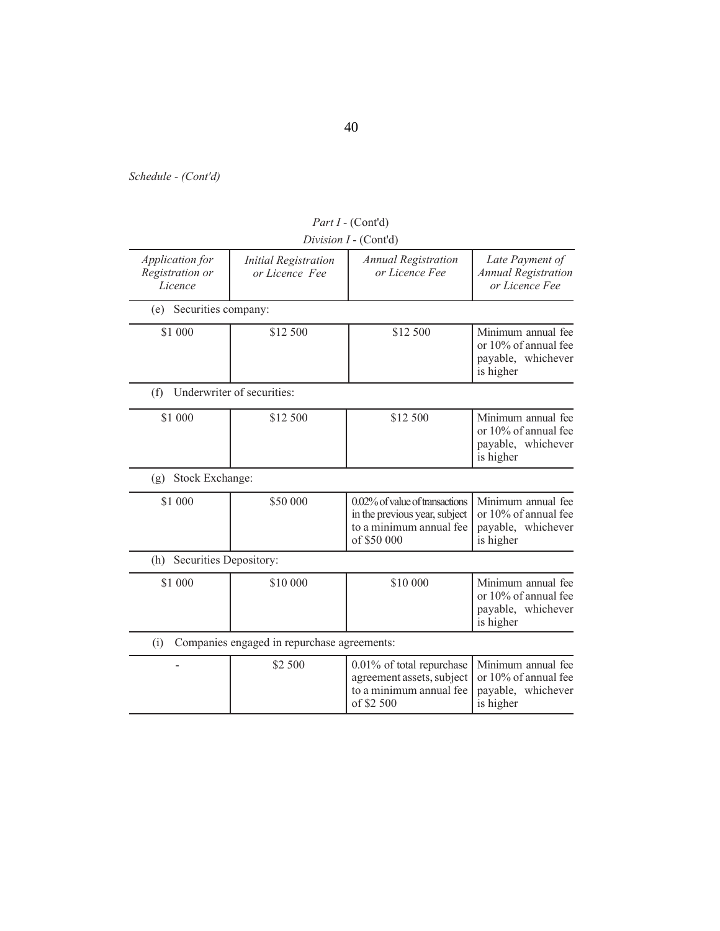|                                               |                                               | Division I - (Cont'd)                                                                                     |                                                                               |
|-----------------------------------------------|-----------------------------------------------|-----------------------------------------------------------------------------------------------------------|-------------------------------------------------------------------------------|
| Application for<br>Registration or<br>Licence | <b>Initial Registration</b><br>or Licence Fee | <b>Annual Registration</b><br>or Licence Fee                                                              | Late Payment of<br><b>Annual Registration</b><br>or Licence Fee               |
| (e) Securities company:                       |                                               |                                                                                                           |                                                                               |
| \$1 000                                       | \$12 500                                      | \$12 500                                                                                                  | Minimum annual fee<br>or 10% of annual fee<br>payable, whichever<br>is higher |
| (f)                                           | Underwriter of securities:                    |                                                                                                           |                                                                               |
| \$1 000                                       | \$12 500                                      | \$12 500                                                                                                  | Minimum annual fee<br>or 10% of annual fee<br>payable, whichever<br>is higher |
| Stock Exchange:<br>(g)                        |                                               |                                                                                                           |                                                                               |
| \$1 000                                       | \$50 000                                      | 0.02% of value of transactions<br>in the previous year, subject<br>to a minimum annual fee<br>of \$50 000 | Minimum annual fee<br>or 10% of annual fee<br>payable, whichever<br>is higher |
| Securities Depository:<br>(h)                 |                                               |                                                                                                           |                                                                               |
| \$1 000                                       | \$10 000                                      | \$10 000                                                                                                  | Minimum annual fee<br>or 10% of annual fee<br>payable, whichever<br>is higher |
| (i)                                           | Companies engaged in repurchase agreements:   |                                                                                                           |                                                                               |
|                                               | \$2 500                                       | 0.01% of total repurchase<br>agreement assets, subject<br>to a minimum annual fee<br>of \$2 500           | Minimum annual fee<br>or 10% of annual fee<br>payable, whichever<br>is higher |

*Part I* - (Cont'd)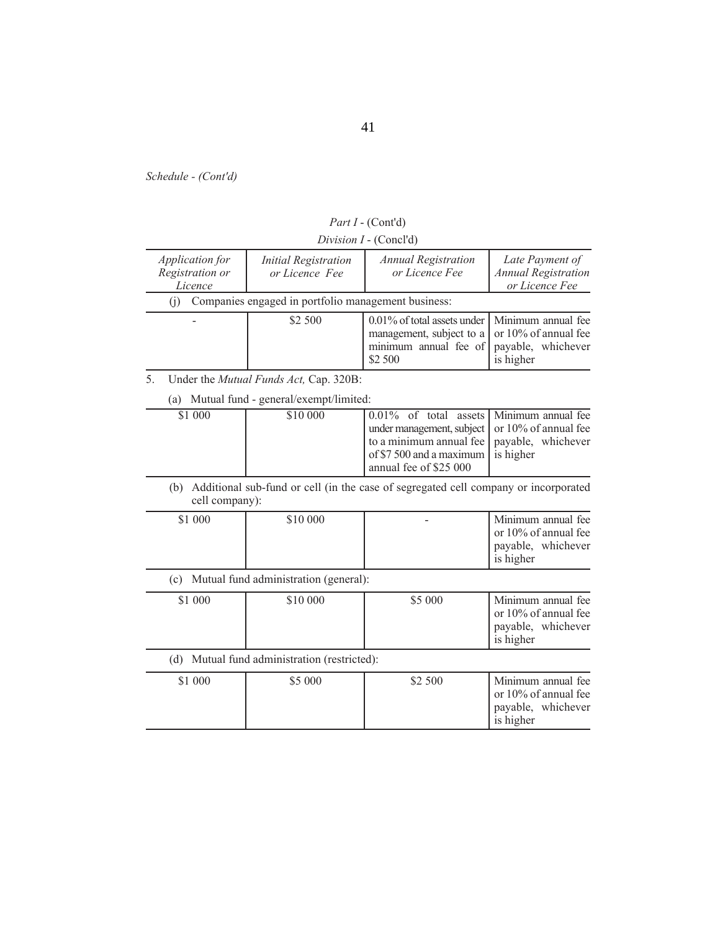41

*Schedule - (Cont'd)*

|  |  | Division I - (Concl'd) |
|--|--|------------------------|
|--|--|------------------------|

| Application for<br>Registration or<br>Licence                                                                | <i>Initial Registration</i><br>or Licence Fee       | <b>Annual Registration</b><br>or Licence Fee                                                                                           | Late Payment of<br><b>Annual Registration</b><br>or Licence Fee                  |
|--------------------------------------------------------------------------------------------------------------|-----------------------------------------------------|----------------------------------------------------------------------------------------------------------------------------------------|----------------------------------------------------------------------------------|
| (1)                                                                                                          | Companies engaged in portfolio management business: |                                                                                                                                        |                                                                                  |
|                                                                                                              | \$2 500                                             | $0.01\%$ of total assets under<br>management, subject to a<br>minimum annual fee of<br>\$2 500                                         | Minimum annual fee<br>or 10% of annual fee<br>payable, whichever<br>is higher    |
| 5.                                                                                                           | Under the <i>Mutual Funds Act</i> , Cap. 320B:      |                                                                                                                                        |                                                                                  |
| (a)                                                                                                          | Mutual fund - general/exempt/limited:               |                                                                                                                                        |                                                                                  |
| \$1 000                                                                                                      | \$10 000                                            | $0.01\%$ of total assets<br>under management, subject<br>to a minimum annual fee<br>of \$7 500 and a maximum<br>annual fee of \$25 000 | Minimum annual fee<br>or 10% of annual fee<br>payable, whichever<br>is higher    |
| Additional sub-fund or cell (in the case of segregated cell company or incorporated<br>(b)<br>cell company): |                                                     |                                                                                                                                        |                                                                                  |
| \$1 000                                                                                                      | \$10 000                                            |                                                                                                                                        | Minimum annual fee<br>or $10\%$ of annual fee<br>payable, whichever<br>is higher |

(c) Mutual fund administration (general):

| \$1 000 | \$10 000 | \$5 000 | Minimum annual fee<br>or $10\%$ of annual fee<br>payable, whichever<br>is higher |
|---------|----------|---------|----------------------------------------------------------------------------------|
|         |          |         |                                                                                  |

(d) Mutual fund administration (restricted):

| \$1 000 | \$5 000 | \$2 500 | Minimum annual fee<br>or $10\%$ of annual fee<br>payable, whichever<br>is higher |
|---------|---------|---------|----------------------------------------------------------------------------------|
|---------|---------|---------|----------------------------------------------------------------------------------|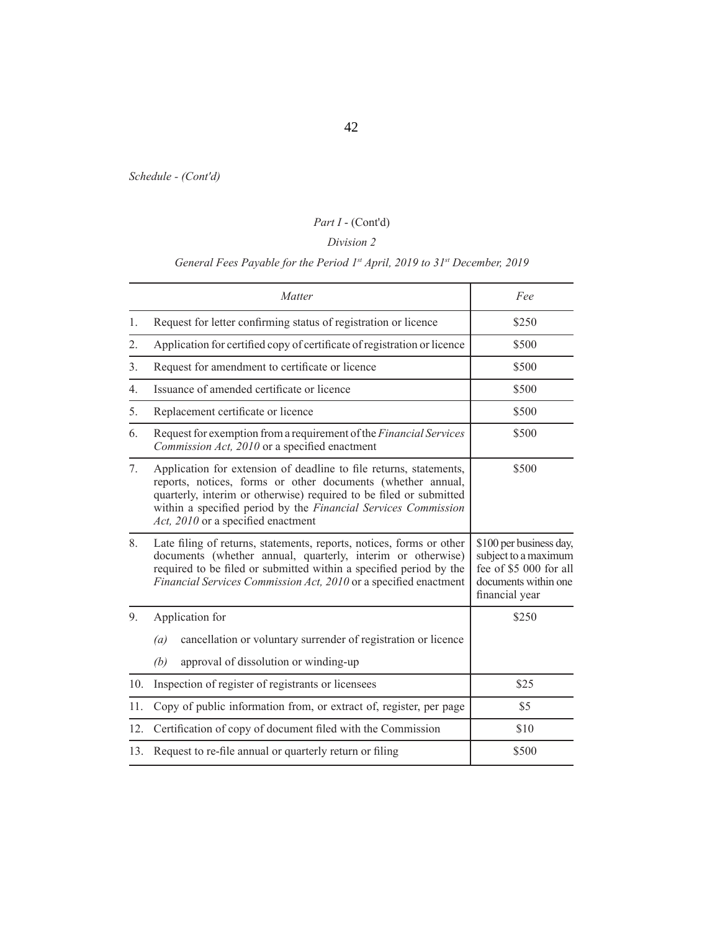# *Part I* - (Cont'd)

## *Division 2*

# *General Fees Payable for the Period 1st April, 2019 to 31st December, 2019*

|                  | Matter                                                                                                                                                                                                                                                                                                          | Fee                                                                                                                 |
|------------------|-----------------------------------------------------------------------------------------------------------------------------------------------------------------------------------------------------------------------------------------------------------------------------------------------------------------|---------------------------------------------------------------------------------------------------------------------|
| 1.               | Request for letter confirming status of registration or licence                                                                                                                                                                                                                                                 | \$250                                                                                                               |
| 2.               | Application for certified copy of certificate of registration or licence                                                                                                                                                                                                                                        | \$500                                                                                                               |
| 3.               | Request for amendment to certificate or licence                                                                                                                                                                                                                                                                 | \$500                                                                                                               |
| $\overline{4}$ . | Issuance of amended certificate or licence                                                                                                                                                                                                                                                                      | \$500                                                                                                               |
| 5.               | Replacement certificate or licence                                                                                                                                                                                                                                                                              | \$500                                                                                                               |
| 6.               | Request for exemption from a requirement of the Financial Services<br>Commission Act, 2010 or a specified enactment                                                                                                                                                                                             | \$500                                                                                                               |
| 7.               | Application for extension of deadline to file returns, statements,<br>reports, notices, forms or other documents (whether annual,<br>quarterly, interim or otherwise) required to be filed or submitted<br>within a specified period by the Financial Services Commission<br>Act, 2010 or a specified enactment | \$500                                                                                                               |
| 8.               | Late filing of returns, statements, reports, notices, forms or other<br>documents (whether annual, quarterly, interim or otherwise)<br>required to be filed or submitted within a specified period by the<br>Financial Services Commission Act, 2010 or a specified enactment                                   | \$100 per business day,<br>subject to a maximum<br>fee of \$5 000 for all<br>documents within one<br>financial year |
| 9.               | Application for                                                                                                                                                                                                                                                                                                 | \$250                                                                                                               |
|                  | cancellation or voluntary surrender of registration or licence<br>(a)                                                                                                                                                                                                                                           |                                                                                                                     |
|                  | approval of dissolution or winding-up<br>(b)                                                                                                                                                                                                                                                                    |                                                                                                                     |
| 10.              | Inspection of register of registrants or licensees                                                                                                                                                                                                                                                              | \$25                                                                                                                |
| 11.              | Copy of public information from, or extract of, register, per page                                                                                                                                                                                                                                              | \$5                                                                                                                 |
| 12.              | Certification of copy of document filed with the Commission                                                                                                                                                                                                                                                     | \$10                                                                                                                |
| 13.              | Request to re-file annual or quarterly return or filing                                                                                                                                                                                                                                                         | \$500                                                                                                               |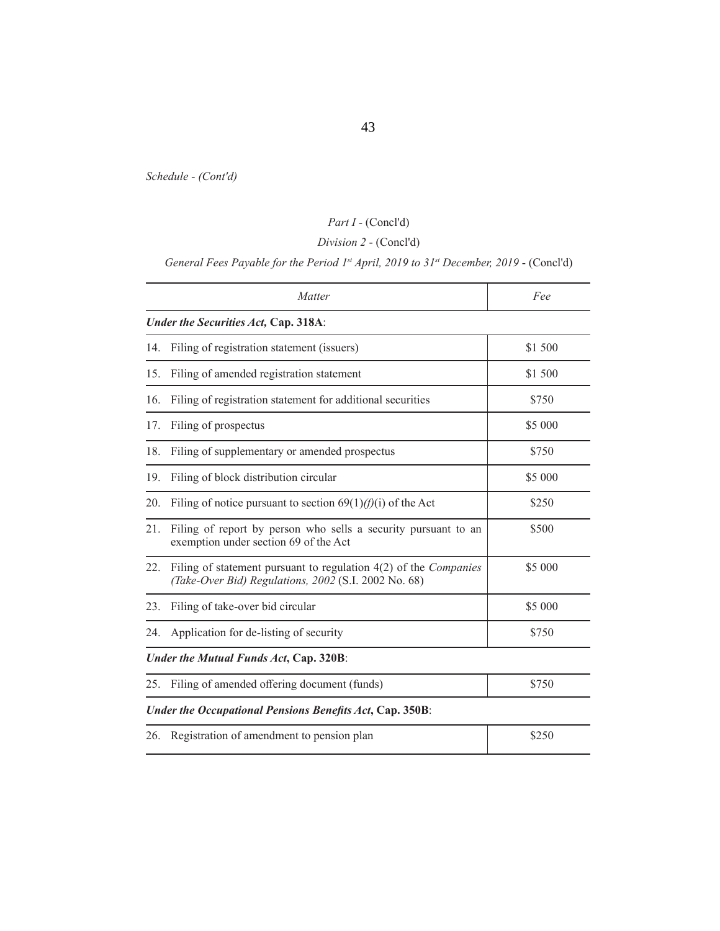# *Part I* - (Concl'd)

# *Division 2* - (Concl'd)

*General Fees Payable for the Period 1st April, 2019 to 31st December, 2019* - (Concl'd)

|     | Matter                                                                                                                            | Fee     |
|-----|-----------------------------------------------------------------------------------------------------------------------------------|---------|
|     | Under the Securities Act, Cap. 318A:                                                                                              |         |
| 14. | Filing of registration statement (issuers)                                                                                        | \$1 500 |
| 15. | Filing of amended registration statement                                                                                          | \$1 500 |
| 16. | Filing of registration statement for additional securities                                                                        | \$750   |
| 17. | Filing of prospectus                                                                                                              | \$5 000 |
| 18. | Filing of supplementary or amended prospectus                                                                                     | \$750   |
| 19. | Filing of block distribution circular                                                                                             | \$5 000 |
| 20. | Filing of notice pursuant to section $69(1)/(f)(i)$ of the Act                                                                    | \$250   |
| 21. | Filing of report by person who sells a security pursuant to an<br>exemption under section 69 of the Act                           | \$500   |
| 22. | Filing of statement pursuant to regulation $4(2)$ of the <i>Companies</i><br>(Take-Over Bid) Regulations, 2002 (S.I. 2002 No. 68) | \$5 000 |
| 23. | Filing of take-over bid circular                                                                                                  | \$5 000 |
| 24. | Application for de-listing of security                                                                                            | \$750   |
|     | Under the Mutual Funds Act, Cap. 320B:                                                                                            |         |
| 25. | Filing of amended offering document (funds)                                                                                       | \$750   |
|     | Under the Occupational Pensions Benefits Act, Cap. 350B:                                                                          |         |
| 26. | Registration of amendment to pension plan                                                                                         | \$250   |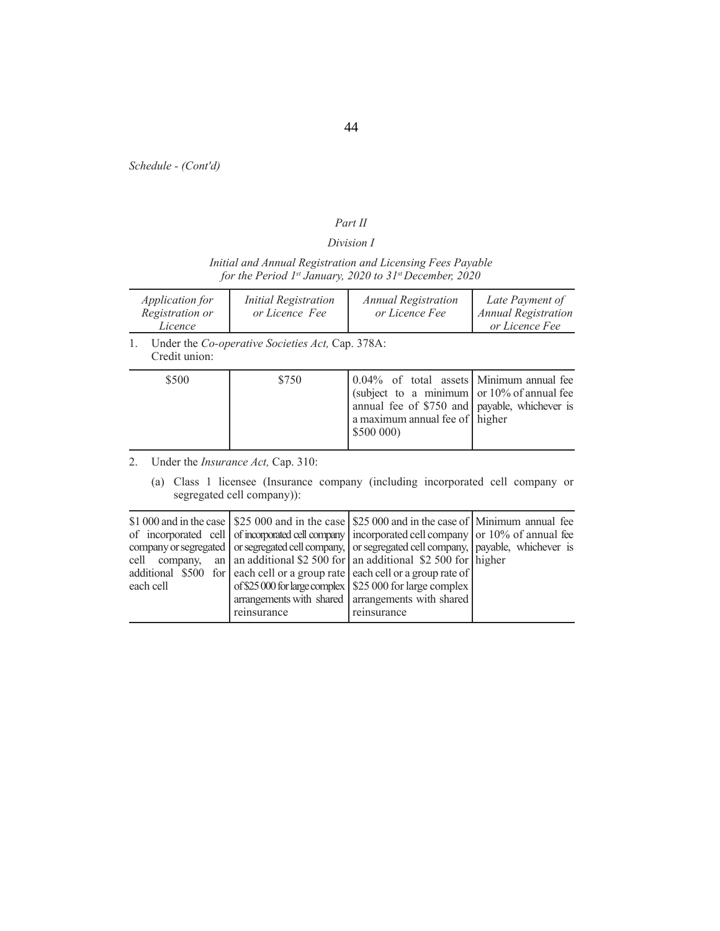## *Part II*

## *Division I*

## *Initial and Annual Registration and Licensing Fees Payable for the Period 1st January, 2020 to 31st December, 2020*

|    | <i>Application for</i><br>Registration or<br>Licence | <b>Initial Registration</b><br>or Licence Fee    | <b>Annual Registration</b><br>or Licence Fee                                                                                                                                                | Late Payment of<br><b>Annual Registration</b><br>or Licence Fee |
|----|------------------------------------------------------|--------------------------------------------------|---------------------------------------------------------------------------------------------------------------------------------------------------------------------------------------------|-----------------------------------------------------------------|
| 1. | Credit union:                                        | Under the Co-operative Societies Act, Cap. 378A: |                                                                                                                                                                                             |                                                                 |
|    | \$500                                                | \$750                                            | 0.04% of total assets Minimum annual fee<br>(subject to a minimum or $10\%$ of annual fee<br>annual fee of $$750$ and payable, whichever is<br>a maximum annual fee of higher<br>\$500 000) |                                                                 |
| 2. |                                                      | Under the <i>Insurance Act</i> , Cap. 310:       |                                                                                                                                                                                             |                                                                 |
|    | (a)                                                  | segregated cell company):                        | Class 1 licensee (Insurance company (including incorporated cell company or                                                                                                                 |                                                                 |

|               |             | \$1,000 and in the case $\frac{1}{25}$ \$25,000 and in the case $\frac{1}{25}$ \$25,000 and in the case of Minimum annual fee |  |
|---------------|-------------|-------------------------------------------------------------------------------------------------------------------------------|--|
|               |             | of incorporated cell of incorporated cell company incorporated cell company or 10% of annual fee                              |  |
|               |             | company or segregated or segregated cell company, or segregated cell company, payable, whichever is                           |  |
| cell company, |             | an   an additional \$2 500 for   an additional \$2 500 for $\ln \left  \right $ higher                                        |  |
|               |             | additional \$500 for each cell or a group rate each cell or a group rate of                                                   |  |
| each cell     |             | of \$25 000 for large complex $\vert$ \$25 000 for large complex $\vert$                                                      |  |
|               |             | arrangements with shared arrangements with shared                                                                             |  |
|               | reinsurance | reinsurance                                                                                                                   |  |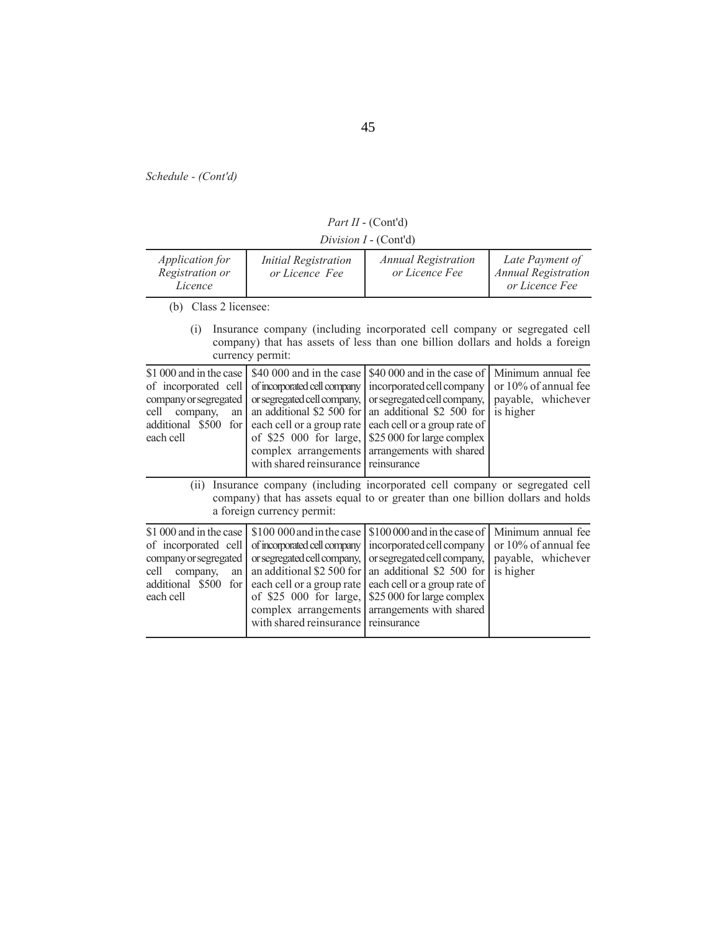*Part II* - (Cont'd)

*Division I* - (Cont'd)

| <i>Application for</i><br>Registration or<br>Licence                                                                                                                                                                                                                                                                                                                      | <i>Initial Registration</i><br>or Licence Fee                                                                                                                                                                                   | <b>Annual Registration</b><br>or Licence Fee                                                                                                                                                                                   | Late Payment of<br><b>Annual Registration</b><br>or Licence Fee               |  |
|---------------------------------------------------------------------------------------------------------------------------------------------------------------------------------------------------------------------------------------------------------------------------------------------------------------------------------------------------------------------------|---------------------------------------------------------------------------------------------------------------------------------------------------------------------------------------------------------------------------------|--------------------------------------------------------------------------------------------------------------------------------------------------------------------------------------------------------------------------------|-------------------------------------------------------------------------------|--|
| (b) Class 2 licensee:                                                                                                                                                                                                                                                                                                                                                     |                                                                                                                                                                                                                                 |                                                                                                                                                                                                                                |                                                                               |  |
| (i)                                                                                                                                                                                                                                                                                                                                                                       | currency permit:                                                                                                                                                                                                                | Insurance company (including incorporated cell company or segregated cell<br>company) that has assets of less than one billion dollars and holds a foreign                                                                     |                                                                               |  |
| \$1 000 and in the case<br>\$40,000 and in the case<br>of incorporated cell company<br>of incorporated cell<br>or segregated cell company,<br>company or segregated<br>an additional \$2 500 for<br>company,<br>cell<br>an<br>additional \$500 for<br>each cell or a group rate<br>each cell<br>of \$25 000 for large,<br>complex arrangements<br>with shared reinsurance |                                                                                                                                                                                                                                 | \$40,000 and in the case of<br>incorporated cell company<br>or segregated cell company,<br>an additional \$2 500 for<br>each cell or a group rate of<br>\$25 000 for large complex<br>arrangements with shared<br>reinsurance  | Minimum annual fee<br>or 10% of annual fee<br>payable, whichever<br>is higher |  |
| Insurance company (including incorporated cell company or segregated cell<br>(ii)<br>company) that has assets equal to or greater than one billion dollars and holds<br>a foreign currency permit:                                                                                                                                                                        |                                                                                                                                                                                                                                 |                                                                                                                                                                                                                                |                                                                               |  |
| \$1 000 and in the case<br>of incorporated cell<br>company or segregated<br>company,<br>cell<br>an<br>additional \$500<br>for<br>each cell                                                                                                                                                                                                                                | \$100 000 and in the case<br>of incorporated cell company<br>or segregated cell company,<br>an additional \$2 500 for<br>each cell or a group rate<br>of \$25 000 for large,<br>complex arrangements<br>with shared reinsurance | \$100 000 and in the case of<br>incorporated cell company<br>or segregated cell company,<br>an additional \$2 500 for<br>each cell or a group rate of<br>\$25 000 for large complex<br>arrangements with shared<br>reinsurance | Minimum annual fee<br>or 10% of annual fee<br>payable, whichever<br>is higher |  |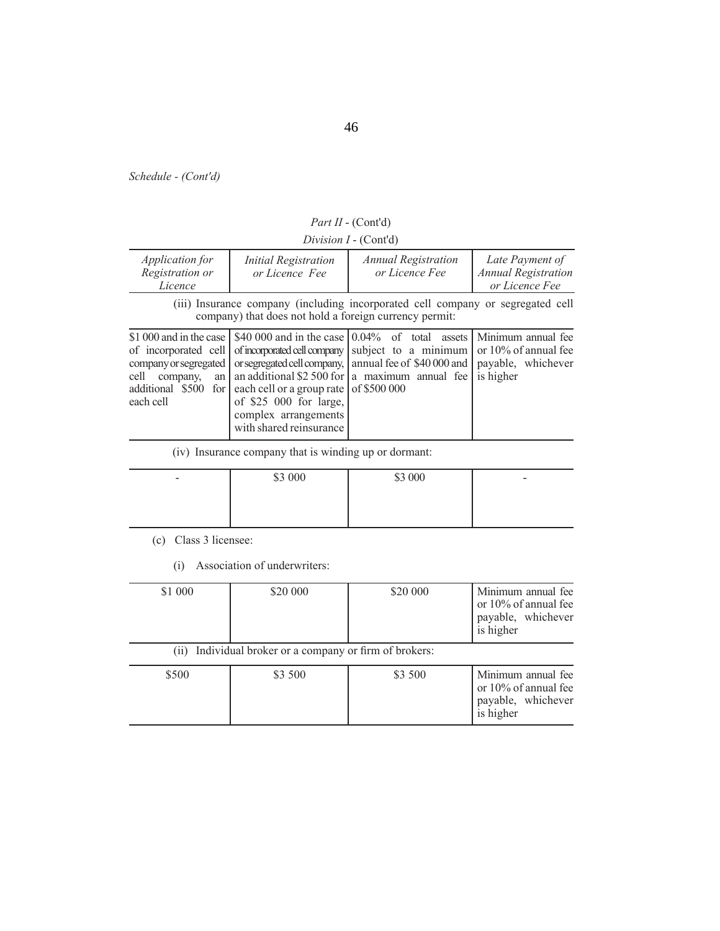| <i>Part II</i> - $(Cont'd)$ |  |
|-----------------------------|--|
|-----------------------------|--|

*Division I* - (Cont'd)

| <i>Application for</i><br>Registration or<br>Licence                                                                                      | <b>Initial Registration</b><br>or Licence Fee                                                                       | <b>Annual Registration</b><br>or Licence Fee                                                                                                                                                                                                                                             | Late Payment of<br><b>Annual Registration</b><br>or Licence Fee |
|-------------------------------------------------------------------------------------------------------------------------------------------|---------------------------------------------------------------------------------------------------------------------|------------------------------------------------------------------------------------------------------------------------------------------------------------------------------------------------------------------------------------------------------------------------------------------|-----------------------------------------------------------------|
|                                                                                                                                           | company) that does not hold a foreign currency permit:                                                              | (iii) Insurance company (including incorporated cell company or segregated cell                                                                                                                                                                                                          |                                                                 |
| \$1,000 and in the case I<br>of incorporated cell<br>company or segregated<br>cell<br>company,<br>an<br>additional \$500 for<br>each cell | each cell or a group rate of \$500 000<br>of \$25 000 for large,<br>complex arrangements<br>with shared reinsurance | \$40,000 and in the case $\vert 0.04\%$ of total assets Minimum annual fee<br>of incorporated cell company subject to a minimum<br>or segregated cell company, annual fee of \$40 000 and payable, whichever<br>an additional \$2 500 for $\vert a \rangle$ maximum annual fee is higher | or $10\%$ of annual fee                                         |

(iv) Insurance company that is winding up or dormant:

| $\overline{\phantom{0}}$ | \$3 000<br>$\psi$ $\sim$ | \$3 000 | $\overline{\phantom{a}}$ |
|--------------------------|--------------------------|---------|--------------------------|
|                          |                          |         |                          |
|                          |                          |         |                          |

(c) Class 3 licensee:

(i) Association of underwriters:

| \$1 000 | \$20 000                                                | \$20 000 | Minimum annual fee<br>or $10\%$ of annual fee<br>payable, whichever<br>is higher |
|---------|---------------------------------------------------------|----------|----------------------------------------------------------------------------------|
|         | (ii) Individual broker or a company or firm of brokers: |          |                                                                                  |
| \$500   | \$3 500                                                 | \$3 500  | Minimum annual fee<br>or 10% of annual fee<br>payable, whichever<br>is higher    |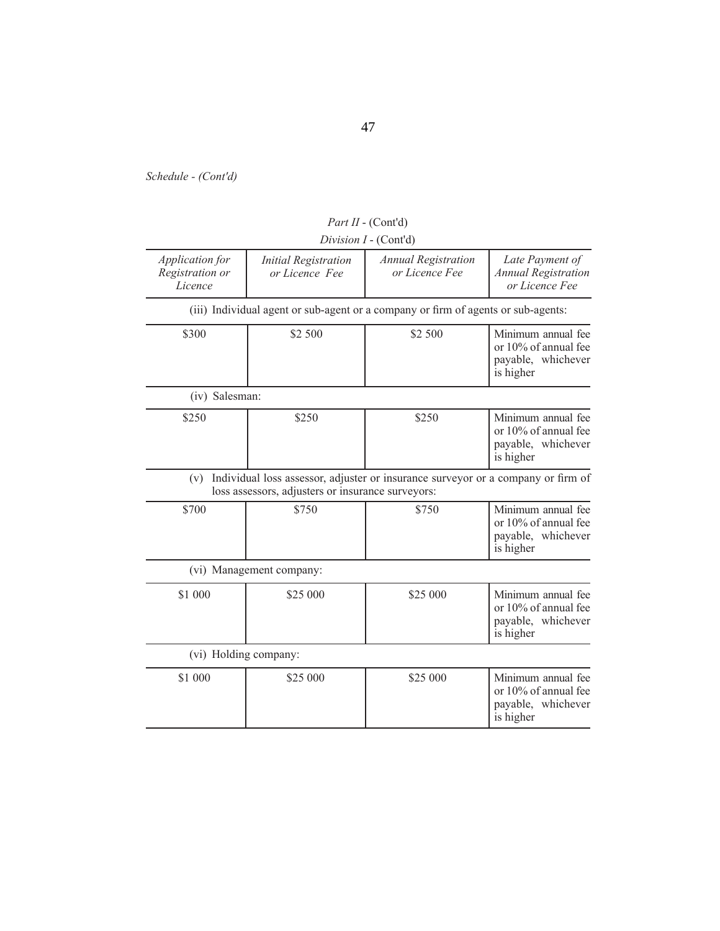|                                               |                                                   | Division I - (Cont'd)                                                             |                                                                               |
|-----------------------------------------------|---------------------------------------------------|-----------------------------------------------------------------------------------|-------------------------------------------------------------------------------|
| Application for<br>Registration or<br>Licence | <b>Initial Registration</b><br>or Licence Fee     | <b>Annual Registration</b><br>or Licence Fee                                      | Late Payment of<br><b>Annual Registration</b><br>or Licence Fee               |
|                                               |                                                   | (iii) Individual agent or sub-agent or a company or firm of agents or sub-agents: |                                                                               |
| \$300                                         | \$2 500                                           | \$2 500                                                                           | Minimum annual fee<br>or 10% of annual fee<br>payable, whichever<br>is higher |
| (iv) Salesman:                                |                                                   |                                                                                   |                                                                               |
| \$250                                         | \$250                                             | \$250                                                                             | Minimum annual fee<br>or 10% of annual fee<br>payable, whichever<br>is higher |
| (v)                                           | loss assessors, adjusters or insurance surveyors: | Individual loss assessor, adjuster or insurance surveyor or a company or firm of  |                                                                               |
| \$700                                         | \$750                                             | \$750                                                                             | Minimum annual fee<br>or 10% of annual fee<br>payable, whichever<br>is higher |
|                                               | (vi) Management company:                          |                                                                                   |                                                                               |
| \$1 000                                       | \$25 000                                          | \$25,000                                                                          | Minimum annual fee<br>or 10% of annual fee<br>payable, whichever<br>is higher |
| (vi) Holding company:                         |                                                   |                                                                                   |                                                                               |
| \$1 000                                       | \$25 000                                          | \$25 000                                                                          | Minimum annual fee<br>or 10% of annual fee<br>payable, whichever<br>is higher |

*Part II* - (Cont'd)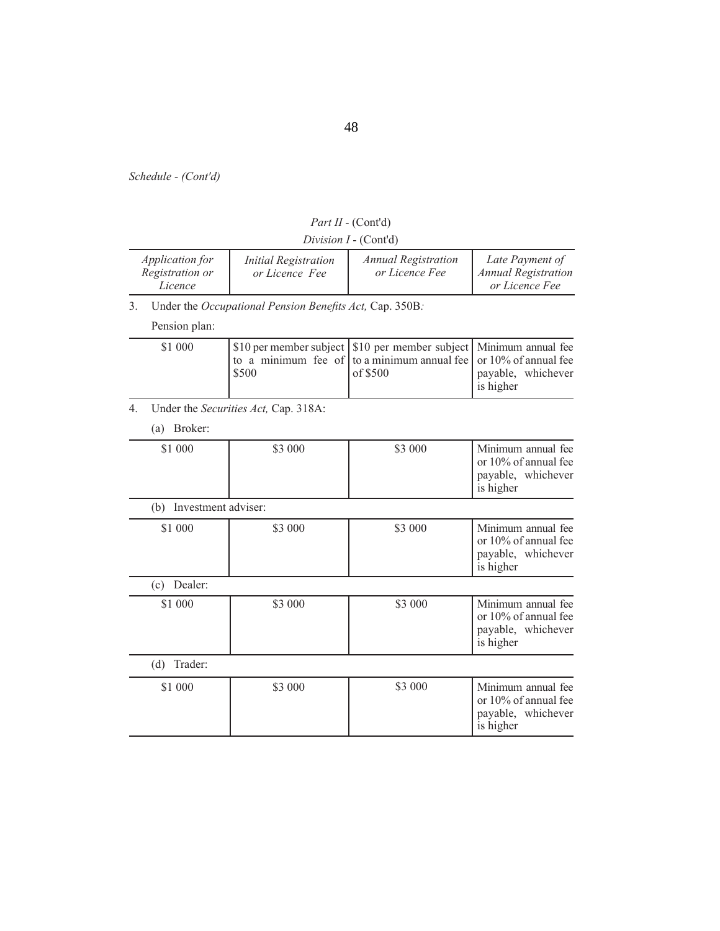|    |                                                      |                                                         | Division I - (Cont'd)                                                                    |                                                                               |
|----|------------------------------------------------------|---------------------------------------------------------|------------------------------------------------------------------------------------------|-------------------------------------------------------------------------------|
|    | <i>Application for</i><br>Registration or<br>Licence | <b>Initial Registration</b><br>or Licence Fee           | <b>Annual Registration</b><br>or Licence Fee                                             | Late Payment of<br><b>Annual Registration</b><br>or Licence Fee               |
| 3. |                                                      | Under the Occupational Pension Benefits Act, Cap. 350B: |                                                                                          |                                                                               |
|    | Pension plan:                                        |                                                         |                                                                                          |                                                                               |
|    | \$1 000                                              | to a minimum fee of<br>\$500                            | \$10 per member subject   \$10 per member subject<br>to a minimum annual fee<br>of \$500 | Minimum annual fee<br>or 10% of annual fee<br>payable, whichever<br>is higher |
| 4. |                                                      | Under the Securities Act, Cap. 318A:                    |                                                                                          |                                                                               |
|    | (a) Broker:                                          |                                                         |                                                                                          |                                                                               |
|    | \$1 000                                              | \$3 000                                                 | \$3 000                                                                                  | Minimum annual fee<br>or 10% of annual fee<br>payable, whichever<br>is higher |
|    | (b) Investment adviser:                              |                                                         |                                                                                          |                                                                               |
|    | \$1 000                                              | \$3 000                                                 | \$3 000                                                                                  | Minimum annual fee<br>or 10% of annual fee<br>payable, whichever<br>is higher |
|    | (c) Dealer:                                          |                                                         |                                                                                          |                                                                               |
|    | \$1 000                                              | \$3 000                                                 | \$3 000                                                                                  | Minimum annual fee<br>or 10% of annual fee<br>payable, whichever<br>is higher |
|    | Trader:<br>(d)                                       |                                                         |                                                                                          |                                                                               |
|    | \$1 000                                              | \$3 000                                                 | \$3 000                                                                                  | Minimum annual fee<br>or 10% of annual fee<br>payable, whichever<br>is higher |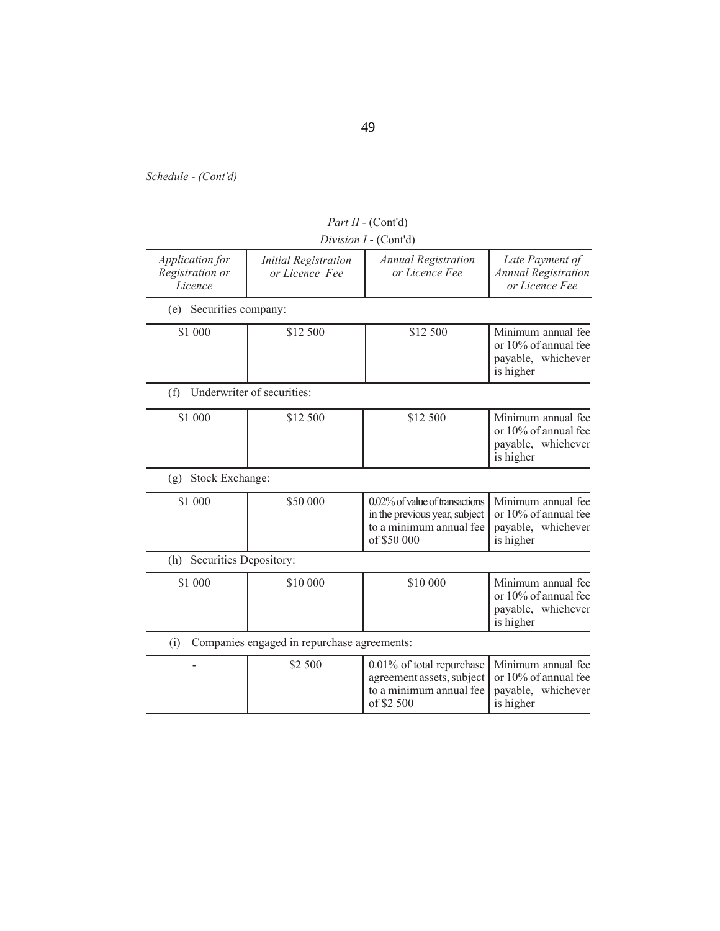|                                               |                                               | Division I - (Cont'd)                                                                                     |                                                                               |
|-----------------------------------------------|-----------------------------------------------|-----------------------------------------------------------------------------------------------------------|-------------------------------------------------------------------------------|
| Application for<br>Registration or<br>Licence | <b>Initial Registration</b><br>or Licence Fee | <b>Annual Registration</b><br>or Licence Fee                                                              | Late Payment of<br><b>Annual Registration</b><br>or Licence Fee               |
| Securities company:<br>(e)                    |                                               |                                                                                                           |                                                                               |
| \$1 000                                       | \$12 500                                      | \$12 500                                                                                                  | Minimum annual fee<br>or 10% of annual fee<br>payable, whichever<br>is higher |
| (f)                                           | Underwriter of securities:                    |                                                                                                           |                                                                               |
| \$1 000                                       | \$12 500                                      | \$12 500                                                                                                  | Minimum annual fee<br>or 10% of annual fee<br>payable, whichever<br>is higher |
| Stock Exchange:<br>(g)                        |                                               |                                                                                                           |                                                                               |
| \$1 000                                       | \$50 000                                      | 0.02% of value of transactions<br>in the previous year, subject<br>to a minimum annual fee<br>of \$50 000 | Minimum annual fee<br>or 10% of annual fee<br>payable, whichever<br>is higher |
| Securities Depository:<br>(h)                 |                                               |                                                                                                           |                                                                               |
| \$1 000                                       | \$10 000                                      | \$10 000                                                                                                  | Minimum annual fee<br>or 10% of annual fee<br>payable, whichever<br>is higher |
| (i)                                           | Companies engaged in repurchase agreements:   |                                                                                                           |                                                                               |
|                                               | \$2 500                                       | 0.01% of total repurchase<br>agreement assets, subject<br>to a minimum annual fee<br>of \$2 500           | Minimum annual fee<br>or 10% of annual fee<br>payable, whichever<br>is higher |
|                                               |                                               |                                                                                                           |                                                                               |

*Part II* - (Cont'd)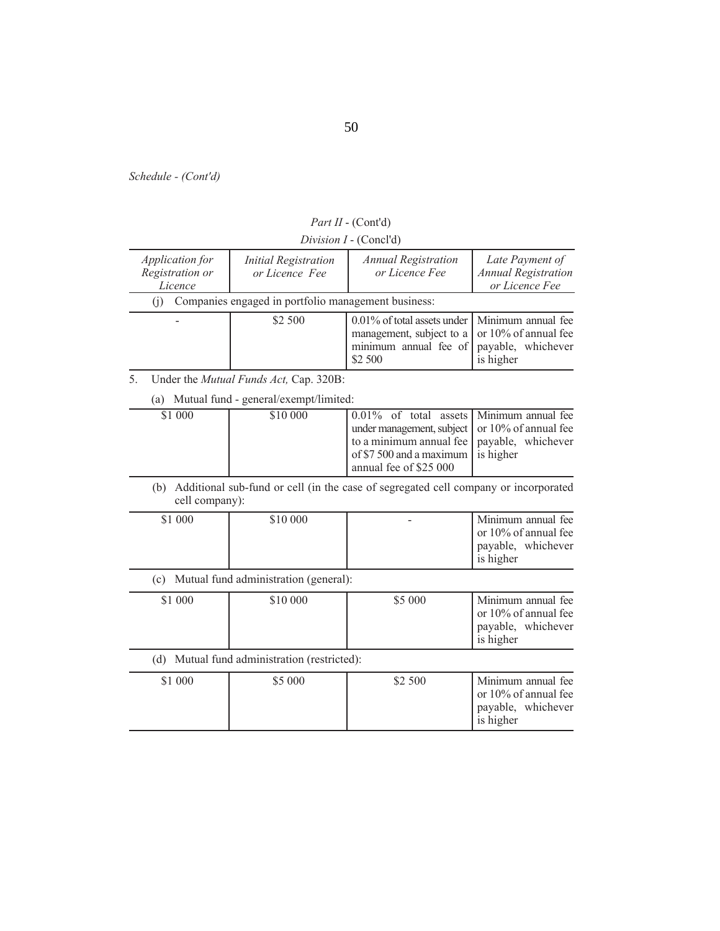| $Division I - (ConcIu)$                              |                                                     |                                                                                                                                                               |                                                                 |
|------------------------------------------------------|-----------------------------------------------------|---------------------------------------------------------------------------------------------------------------------------------------------------------------|-----------------------------------------------------------------|
| <i>Application for</i><br>Registration or<br>Licence | <b>Initial Registration</b><br>or Licence Fee       | <b>Annual Registration</b><br>or Licence Fee                                                                                                                  | Late Payment of<br><b>Annual Registration</b><br>or Licence Fee |
|                                                      | Companies engaged in portfolio management business: |                                                                                                                                                               |                                                                 |
|                                                      | \$2 500                                             | $0.01\%$ of total assets under   Minimum annual fee<br>management, subject to a   or 10% of annual fee<br>minimum annual fee of payable, whichever<br>\$2 500 | is higher                                                       |

*Part II* - (Cont'd) *Division I* - (Concl'd)

5. Under the *Mutual Funds Act,* Cap. 320B:

(a) Mutual fund - general/exempt/limited:

| \$1 000 | \$10 000 | 0.01% of total assets Minimum annual fee         |  |
|---------|----------|--------------------------------------------------|--|
|         |          | under management, subject   or 10% of annual fee |  |
|         |          | to a minimum annual fee   payable, whichever     |  |
|         |          | of \$7 500 and a maximum $\vert$ is higher       |  |
|         |          | annual fee of \$25 000                           |  |

(b) Additional sub-fund or cell (in the case of segregated cell company or incorporated cell company):

| \$10 000<br>\$1 000 | $\overline{\phantom{a}}$<br>is higher | Minimum annual fee<br>$\log 10\%$ of annual fee<br>payable, whichever |
|---------------------|---------------------------------------|-----------------------------------------------------------------------|
|---------------------|---------------------------------------|-----------------------------------------------------------------------|

(c) Mutual fund administration (general):

 $\overline{a}$ 

| \$1 000 | \$10 000 | \$5 000 | Minimum annual fee<br>$\vert$ or 10% of annual fee<br>I payable, whichever<br>is higher |
|---------|----------|---------|-----------------------------------------------------------------------------------------|
|         |          |         |                                                                                         |

(d) Mutual fund administration (restricted):

| \$1 000<br>\$5 000 | \$2 500 | Minimum annual fee<br>or $10\%$ of annual fee<br>payable, whichever<br>is higher |
|--------------------|---------|----------------------------------------------------------------------------------|
|--------------------|---------|----------------------------------------------------------------------------------|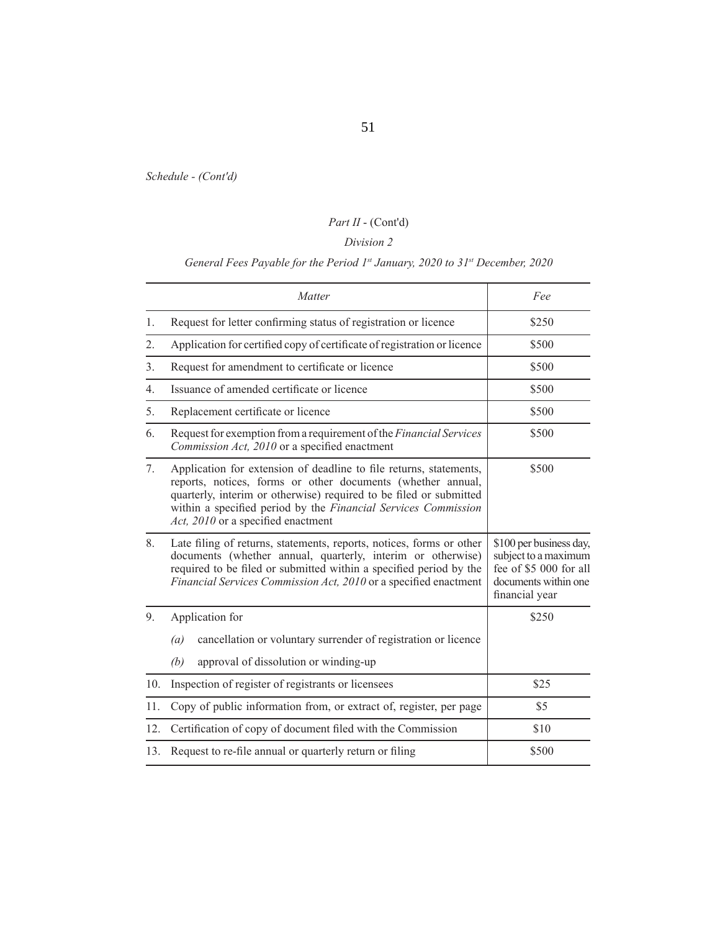# *Part II* - (Cont'd)

# *Division 2*

# *General Fees Payable for the Period 1st January, 2020 to 31st December, 2020*

| Matter           |                                                                                                                                                                                                                                                                                                                 | Fee                                                                                                                 |
|------------------|-----------------------------------------------------------------------------------------------------------------------------------------------------------------------------------------------------------------------------------------------------------------------------------------------------------------|---------------------------------------------------------------------------------------------------------------------|
| 1.               | Request for letter confirming status of registration or licence                                                                                                                                                                                                                                                 | \$250                                                                                                               |
| 2.               | Application for certified copy of certificate of registration or licence                                                                                                                                                                                                                                        | \$500                                                                                                               |
| 3.               | Request for amendment to certificate or licence                                                                                                                                                                                                                                                                 | \$500                                                                                                               |
| $\overline{4}$ . | Issuance of amended certificate or licence                                                                                                                                                                                                                                                                      | \$500                                                                                                               |
| 5.               | Replacement certificate or licence                                                                                                                                                                                                                                                                              | \$500                                                                                                               |
| 6.               | Request for exemption from a requirement of the Financial Services<br>Commission Act, 2010 or a specified enactment                                                                                                                                                                                             | \$500                                                                                                               |
| 7.               | Application for extension of deadline to file returns, statements,<br>reports, notices, forms or other documents (whether annual,<br>quarterly, interim or otherwise) required to be filed or submitted<br>within a specified period by the Financial Services Commission<br>Act, 2010 or a specified enactment | \$500                                                                                                               |
| 8.               | Late filing of returns, statements, reports, notices, forms or other<br>documents (whether annual, quarterly, interim or otherwise)<br>required to be filed or submitted within a specified period by the<br>Financial Services Commission Act, 2010 or a specified enactment                                   | \$100 per business day,<br>subject to a maximum<br>fee of \$5 000 for all<br>documents within one<br>financial year |
| 9.               | Application for                                                                                                                                                                                                                                                                                                 | \$250                                                                                                               |
|                  | cancellation or voluntary surrender of registration or licence<br>(a)                                                                                                                                                                                                                                           |                                                                                                                     |
|                  | approval of dissolution or winding-up<br>(b)                                                                                                                                                                                                                                                                    |                                                                                                                     |
| 10.              | Inspection of register of registrants or licensees                                                                                                                                                                                                                                                              | \$25                                                                                                                |
| 11.              | Copy of public information from, or extract of, register, per page                                                                                                                                                                                                                                              | \$5                                                                                                                 |
| 12.              | Certification of copy of document filed with the Commission                                                                                                                                                                                                                                                     | \$10                                                                                                                |
| 13.              | Request to re-file annual or quarterly return or filing                                                                                                                                                                                                                                                         | \$500                                                                                                               |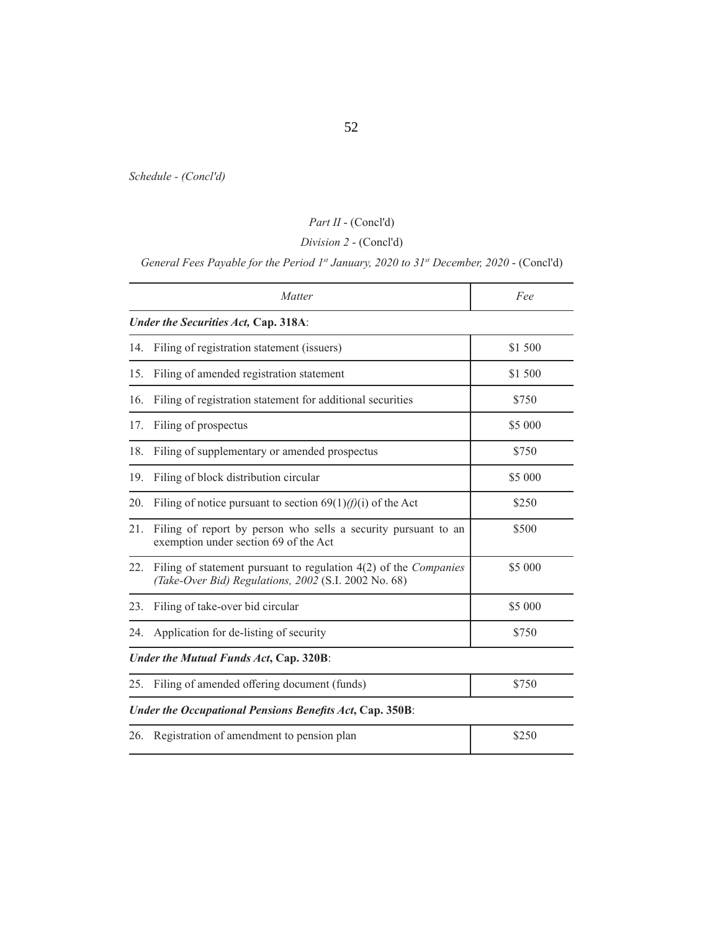# *Part II* - (Concl'd)

# *Division 2* - (Concl'd)

# *General Fees Payable for the Period 1st January, 2020 to 31st December, 2020 - (Concl'd)*

|                                                                 | Matter                                                                                                                            | Fee     |  |  |  |
|-----------------------------------------------------------------|-----------------------------------------------------------------------------------------------------------------------------------|---------|--|--|--|
|                                                                 | Under the Securities Act, Cap. 318A:                                                                                              |         |  |  |  |
| 14.                                                             | Filing of registration statement (issuers)                                                                                        | \$1 500 |  |  |  |
| 15.                                                             | Filing of amended registration statement                                                                                          | \$1 500 |  |  |  |
| 16.                                                             | Filing of registration statement for additional securities                                                                        | \$750   |  |  |  |
| 17.                                                             | Filing of prospectus                                                                                                              | \$5 000 |  |  |  |
| 18.                                                             | Filing of supplementary or amended prospectus                                                                                     | \$750   |  |  |  |
| 19.                                                             | Filing of block distribution circular                                                                                             | \$5 000 |  |  |  |
| 20.                                                             | Filing of notice pursuant to section $69(1)/(f)(i)$ of the Act                                                                    | \$250   |  |  |  |
| 21.                                                             | Filing of report by person who sells a security pursuant to an<br>exemption under section 69 of the Act                           | \$500   |  |  |  |
| 22.                                                             | Filing of statement pursuant to regulation $4(2)$ of the <i>Companies</i><br>(Take-Over Bid) Regulations, 2002 (S.I. 2002 No. 68) | \$5 000 |  |  |  |
| 23.                                                             | Filing of take-over bid circular                                                                                                  | \$5 000 |  |  |  |
| 24.                                                             | Application for de-listing of security                                                                                            | \$750   |  |  |  |
| Under the Mutual Funds Act, Cap. 320B:                          |                                                                                                                                   |         |  |  |  |
| 25.                                                             | Filing of amended offering document (funds)                                                                                       | \$750   |  |  |  |
| <b>Under the Occupational Pensions Benefits Act, Cap. 350B:</b> |                                                                                                                                   |         |  |  |  |
| 26.                                                             | Registration of amendment to pension plan                                                                                         | \$250   |  |  |  |